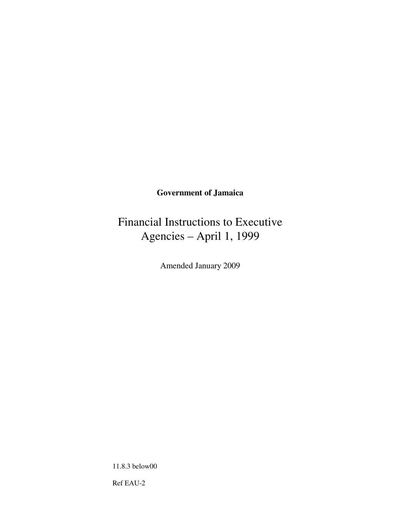## **Government of Jamaica**

# Financial Instructions to Executive Agencies – April 1, 1999

Amended January 2009

11.8.3 below00

Ref EAU-2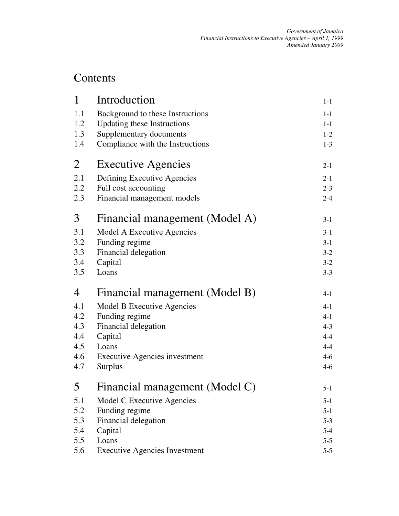## Contents

| $\mathbf{1}$ | Introduction                         | $1 - 1$ |
|--------------|--------------------------------------|---------|
| 1.1          | Background to these Instructions     | $1-1$   |
| 1.2          | <b>Updating these Instructions</b>   | $1 - 1$ |
| 1.3          | Supplementary documents              | $1 - 2$ |
| 1.4          | Compliance with the Instructions     | $1 - 3$ |
| 2            | <b>Executive Agencies</b>            | $2 - 1$ |
| 2.1          | Defining Executive Agencies          | $2 - 1$ |
| 2.2          | Full cost accounting                 | $2 - 3$ |
| 2.3          | Financial management models          | $2 - 4$ |
| 3            | Financial management (Model A)       | $3-1$   |
| 3.1          | Model A Executive Agencies           | $3-1$   |
| 3.2          | Funding regime                       | $3-1$   |
| 3.3          | Financial delegation                 | $3-2$   |
| 3.4          | Capital                              | $3-2$   |
| 3.5          | Loans                                | $3 - 3$ |
| 4            | Financial management (Model B)       | $4 - 1$ |
| 4.1          | <b>Model B Executive Agencies</b>    | $4 - 1$ |
| 4.2          | Funding regime                       | $4 - 1$ |
| 4.3          | Financial delegation                 | $4 - 3$ |
| 4.4          | Capital                              | $4 - 4$ |
| 4.5          | Loans                                | $4 - 4$ |
| 4.6          | <b>Executive Agencies investment</b> | $4 - 6$ |
| 4.7          | <b>Surplus</b>                       | $4 - 6$ |
| 5            | Financial management (Model C)       | $5-1$   |
| 5.1          | Model C Executive Agencies           | $5 - 1$ |
| 5.2          | Funding regime                       | $5 - 1$ |
| 5.3          | Financial delegation                 | $5 - 3$ |
| 5.4          | Capital                              | $5 - 4$ |
| 5.5          | Loans                                | $5 - 5$ |
| 5.6          | <b>Executive Agencies Investment</b> | $5-5$   |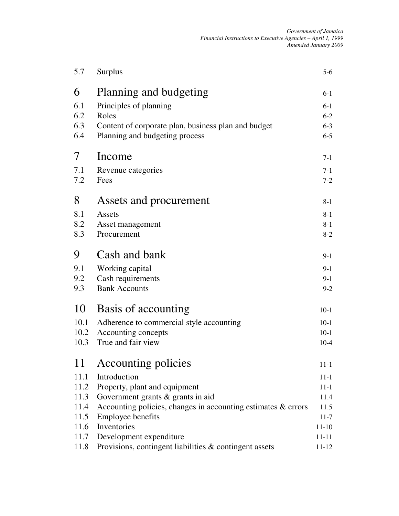| 5.7  | Surplus                                                          | $5-6$     |
|------|------------------------------------------------------------------|-----------|
| 6    | Planning and budgeting                                           | $6 - 1$   |
| 6.1  | Principles of planning                                           | $6-1$     |
| 6.2  | Roles                                                            | $6 - 2$   |
| 6.3  | Content of corporate plan, business plan and budget              | $6 - 3$   |
| 6.4  | Planning and budgeting process                                   | $6 - 5$   |
| 7    | Income                                                           | $7-1$     |
| 7.1  | Revenue categories                                               | $7-1$     |
| 7.2  | Fees                                                             | $7 - 2$   |
| 8    | Assets and procurement                                           | $8 - 1$   |
| 8.1  | Assets                                                           | $8 - 1$   |
| 8.2  | Asset management                                                 | $8-1$     |
| 8.3  | Procurement                                                      | $8-2$     |
| 9    | Cash and bank                                                    | $9-1$     |
| 9.1  | Working capital                                                  | $9-1$     |
| 9.2  | Cash requirements                                                | $9-1$     |
| 9.3  | <b>Bank Accounts</b>                                             | $9 - 2$   |
| 10   | Basis of accounting                                              | $10-1$    |
| 10.1 | Adherence to commercial style accounting                         | $10-1$    |
| 10.2 | Accounting concepts                                              | $10-1$    |
| 10.3 | True and fair view                                               | $10-4$    |
| 11   | Accounting policies                                              | $11 - 1$  |
| 11.1 | Introduction                                                     | $11 - 1$  |
| 11.2 | Property, plant and equipment                                    | $11 - 1$  |
| 11.3 | Government grants $\&$ grants in aid                             | 11.4      |
| 11.4 | Accounting policies, changes in accounting estimates $\&$ errors | 11.5      |
| 11.5 | <b>Employee benefits</b>                                         | $11 - 7$  |
| 11.6 | Inventories                                                      | $11-10$   |
| 11.7 | Development expenditure                                          | $11 - 11$ |
| 11.8 | Provisions, contingent liabilities & contingent assets           | $11 - 12$ |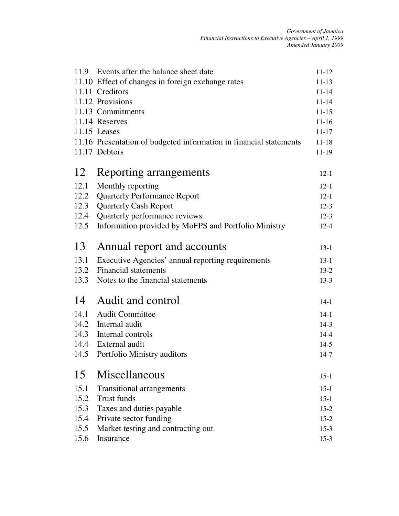|      | 11.9 Events after the balance sheet date                           | $11 - 12$ |
|------|--------------------------------------------------------------------|-----------|
|      | 11.10 Effect of changes in foreign exchange rates                  | $11 - 13$ |
|      | 11.11 Creditors                                                    | $11 - 14$ |
|      | 11.12 Provisions                                                   | $11 - 14$ |
|      | 11.13 Commitments                                                  | $11 - 15$ |
|      | 11.14 Reserves                                                     | $11 - 16$ |
|      | $11.15$ Leases                                                     | $11 - 17$ |
|      | 11.16 Presentation of budgeted information in financial statements | $11 - 18$ |
|      | 11.17 Debtors                                                      | $11-19$   |
| 12   | Reporting arrangements                                             | $12 - 1$  |
| 12.1 | Monthly reporting                                                  | $12 - 1$  |
| 12.2 | <b>Quarterly Performance Report</b>                                | $12 - 1$  |
| 12.3 | <b>Quarterly Cash Report</b>                                       | $12-3$    |
| 12.4 | Quarterly performance reviews                                      | $12-3$    |
| 12.5 | Information provided by MoFPS and Portfolio Ministry               | $12 - 4$  |
| 13   | Annual report and accounts                                         | $13-1$    |
| 13.1 | Executive Agencies' annual reporting requirements                  | $13-1$    |
| 13.2 | <b>Financial statements</b>                                        | $13-2$    |
| 13.3 | Notes to the financial statements                                  | $13 - 3$  |
| 14   | Audit and control                                                  | $14-1$    |
| 14.1 | <b>Audit Committee</b>                                             | $14 - 1$  |
|      | 14.2 Internal audit                                                | $14-3$    |
| 14.3 | Internal controls                                                  | $14 - 4$  |
|      | 14.4 External audit                                                | $14-5$    |
| 14.5 | Portfolio Ministry auditors                                        | $14 - 7$  |
|      | 15 Miscellaneous                                                   | $15-1$    |
| 15.1 | <b>Transitional arrangements</b>                                   | $15 - 1$  |
| 15.2 | Trust funds                                                        | $15-1$    |
| 15.3 | Taxes and duties payable                                           | $15-2$    |
| 15.4 | Private sector funding                                             | $15 - 2$  |
| 15.5 | Market testing and contracting out                                 | $15-3$    |
| 15.6 | Insurance                                                          | $15-3$    |
|      |                                                                    |           |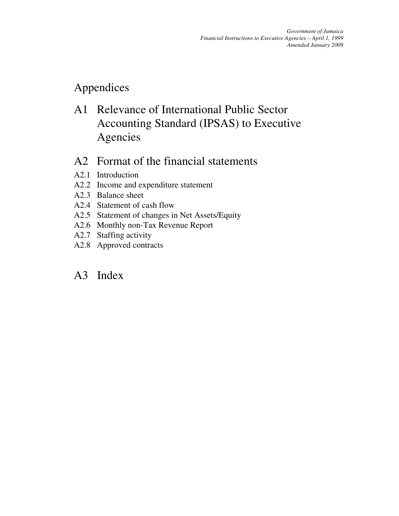## Appendices

A1 Relevance of International Public Sector Accounting Standard (IPSAS) to Executive Agencies

## A2 Format of the financial statements

- A2.1 Introduction
- A2.2 Income and expenditure statement
- A2.3 Balance sheet
- A2.4 Statement of cash flow
- A2.5 Statement of changes in Net Assets/Equity
- A2.6 Monthly non-Tax Revenue Report
- A2.7 Staffing activity
- A2.8 Approved contracts

## A3 Index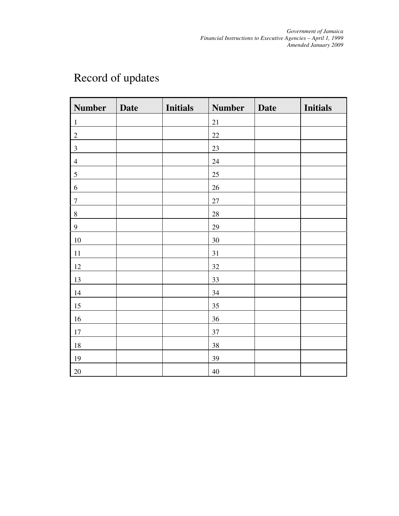| <b>Number</b>    | <b>Date</b> | <b>Initials</b> | <b>Number</b> | <b>Date</b> | <b>Initials</b> |
|------------------|-------------|-----------------|---------------|-------------|-----------------|
| $\mathbf{1}$     |             |                 | $21\,$        |             |                 |
| $\sqrt{2}$       |             |                 | $22\,$        |             |                 |
| $\mathfrak{Z}$   |             |                 | 23            |             |                 |
| $\overline{4}$   |             |                 | $24\,$        |             |                 |
| $\sqrt{5}$       |             |                 | 25            |             |                 |
| $\sqrt{6}$       |             |                 | $26\,$        |             |                 |
| $\boldsymbol{7}$ |             |                 | $27\,$        |             |                 |
| $8\,$            |             |                 | $28\,$        |             |                 |
| $\boldsymbol{9}$ |             |                 | 29            |             |                 |
| $10\,$           |             |                 | $30\,$        |             |                 |
| 11               |             |                 | 31            |             |                 |
| $12\,$           |             |                 | $32\,$        |             |                 |
| 13               |             |                 | 33            |             |                 |
| 14               |             |                 | $34\,$        |             |                 |
| 15               |             |                 | 35            |             |                 |
| 16               |             |                 | 36            |             |                 |
| $17\,$           |             |                 | 37            |             |                 |
| $18\,$           |             |                 | $38\,$        |             |                 |
| 19               |             |                 | 39            |             |                 |
| $20\,$           |             |                 | $40\,$        |             |                 |

# Record of updates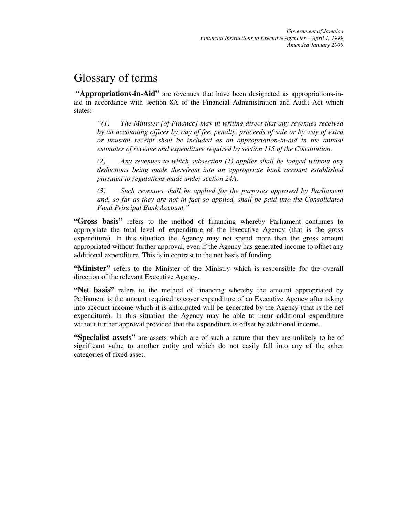## Glossary of terms

**"Appropriations-in-Aid"** are revenues that have been designated as appropriations-inaid in accordance with section 8A of the Financial Administration and Audit Act which states:

*"(1) The Minister [of Finance] may in writing direct that any revenues received by an accounting officer by way of fee, penalty, proceeds of sale or by way of extra or unusual receipt shall be included as an appropriation-in-aid in the annual estimates of revenue and expenditure required by section 115 of the Constitution.* 

*(2) Any revenues to which subsection (1) applies shall be lodged without any deductions being made therefrom into an appropriate bank account established pursuant to regulations made under section 24A.* 

*(3) Such revenues shall be applied for the purposes approved by Parliament and, so far as they are not in fact so applied, shall be paid into the Consolidated Fund Principal Bank Account."* 

**"Gross basis"** refers to the method of financing whereby Parliament continues to appropriate the total level of expenditure of the Executive Agency (that is the gross expenditure). In this situation the Agency may not spend more than the gross amount appropriated without further approval, even if the Agency has generated income to offset any additional expenditure. This is in contrast to the net basis of funding.

"Minister" refers to the Minister of the Ministry which is responsible for the overall direction of the relevant Executive Agency.

**"Net basis"** refers to the method of financing whereby the amount appropriated by Parliament is the amount required to cover expenditure of an Executive Agency after taking into account income which it is anticipated will be generated by the Agency (that is the net expenditure). In this situation the Agency may be able to incur additional expenditure without further approval provided that the expenditure is offset by additional income.

**"Specialist assets"** are assets which are of such a nature that they are unlikely to be of significant value to another entity and which do not easily fall into any of the other categories of fixed asset.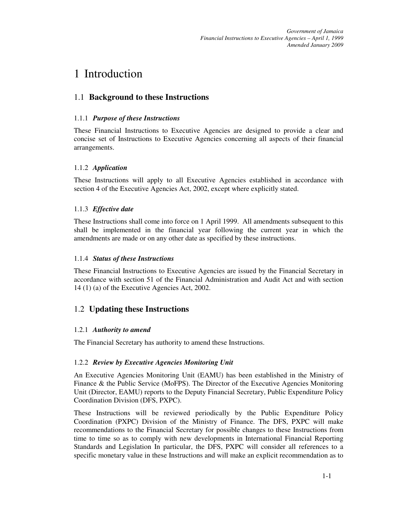*Government of Jamaica Financial Instructions to Executive Agencies – April 1, 1999 Amended January 2009*

## 1 Introduction

## 1.1 **Background to these Instructions**

#### 1.1.1 *Purpose of these Instructions*

These Financial Instructions to Executive Agencies are designed to provide a clear and concise set of Instructions to Executive Agencies concerning all aspects of their financial arrangements.

## 1.1.2 *Application*

These Instructions will apply to all Executive Agencies established in accordance with section 4 of the Executive Agencies Act, 2002, except where explicitly stated.

#### 1.1.3 *Effective date*

These Instructions shall come into force on 1 April 1999. All amendments subsequent to this shall be implemented in the financial year following the current year in which the amendments are made or on any other date as specified by these instructions.

#### 1.1.4 *Status of these Instructions*

These Financial Instructions to Executive Agencies are issued by the Financial Secretary in accordance with section 51 of the Financial Administration and Audit Act and with section 14 (1) (a) of the Executive Agencies Act, 2002.

## 1.2 **Updating these Instructions**

## 1.2.1 *Authority to amend*

The Financial Secretary has authority to amend these Instructions.

#### 1.2.2 *Review by Executive Agencies Monitoring Unit*

An Executive Agencies Monitoring Unit (EAMU) has been established in the Ministry of Finance & the Public Service (MoFPS). The Director of the Executive Agencies Monitoring Unit (Director, EAMU) reports to the Deputy Financial Secretary, Public Expenditure Policy Coordination Division (DFS, PXPC).

These Instructions will be reviewed periodically by the Public Expenditure Policy Coordination (PXPC) Division of the Ministry of Finance. The DFS, PXPC will make recommendations to the Financial Secretary for possible changes to these Instructions from time to time so as to comply with new developments in International Financial Reporting Standards and Legislation In particular, the DFS, PXPC will consider all references to a specific monetary value in these Instructions and will make an explicit recommendation as to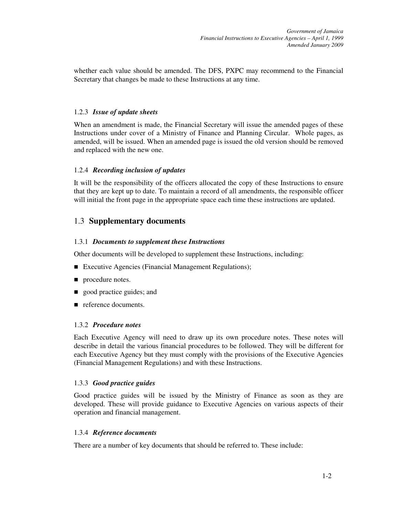whether each value should be amended. The DFS, PXPC may recommend to the Financial Secretary that changes be made to these Instructions at any time.

#### 1.2.3 *Issue of update sheets*

When an amendment is made, the Financial Secretary will issue the amended pages of these Instructions under cover of a Ministry of Finance and Planning Circular. Whole pages, as amended, will be issued. When an amended page is issued the old version should be removed and replaced with the new one.

#### 1.2.4 *Recording inclusion of updates*

It will be the responsibility of the officers allocated the copy of these Instructions to ensure that they are kept up to date. To maintain a record of all amendments, the responsible officer will initial the front page in the appropriate space each time these instructions are updated.

## 1.3 **Supplementary documents**

#### 1.3.1 *Documents to supplement these Instructions*

Other documents will be developed to supplement these Instructions, including:

- Executive Agencies (Financial Management Regulations);
- **procedure notes.**
- **good practice guides; and**
- reference documents.

#### 1.3.2 *Procedure notes*

Each Executive Agency will need to draw up its own procedure notes. These notes will describe in detail the various financial procedures to be followed. They will be different for each Executive Agency but they must comply with the provisions of the Executive Agencies (Financial Management Regulations) and with these Instructions.

#### 1.3.3 *Good practice guides*

Good practice guides will be issued by the Ministry of Finance as soon as they are developed. These will provide guidance to Executive Agencies on various aspects of their operation and financial management.

#### 1.3.4 *Reference documents*

There are a number of key documents that should be referred to. These include: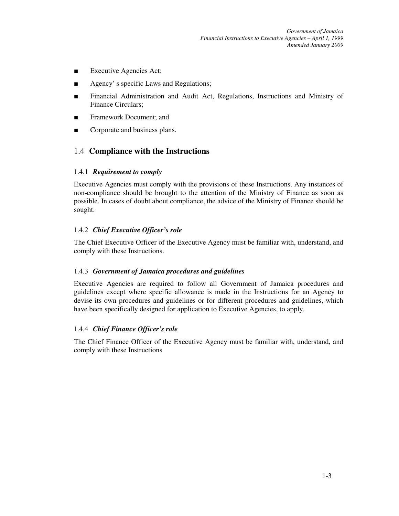*Government of Jamaica Financial Instructions to Executive Agencies – April 1, 1999 Amended January 2009*

- Executive Agencies Act;
- Agency's specific Laws and Regulations;
- Financial Administration and Audit Act, Regulations, Instructions and Ministry of Finance Circulars;
- Framework Document: and
- Corporate and business plans.

## 1.4 **Compliance with the Instructions**

#### 1.4.1 *Requirement to comply*

Executive Agencies must comply with the provisions of these Instructions. Any instances of non-compliance should be brought to the attention of the Ministry of Finance as soon as possible. In cases of doubt about compliance, the advice of the Ministry of Finance should be sought.

#### 1.4.2 *Chief Executive Officer's role*

The Chief Executive Officer of the Executive Agency must be familiar with, understand, and comply with these Instructions.

#### 1.4.3 *Government of Jamaica procedures and guidelines*

Executive Agencies are required to follow all Government of Jamaica procedures and guidelines except where specific allowance is made in the Instructions for an Agency to devise its own procedures and guidelines or for different procedures and guidelines, which have been specifically designed for application to Executive Agencies, to apply.

#### 1.4.4 *Chief Finance Officer's role*

The Chief Finance Officer of the Executive Agency must be familiar with, understand, and comply with these Instructions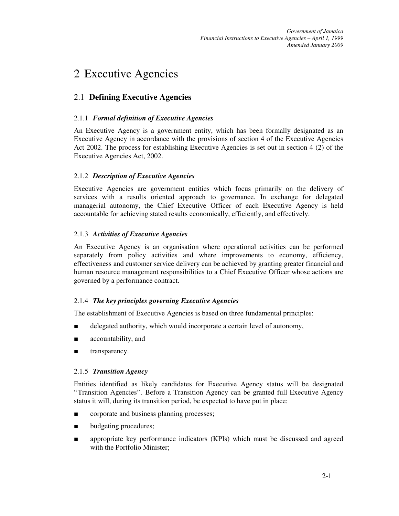## 2 Executive Agencies

## 2.1 **Defining Executive Agencies**

## 2.1.1 *Formal definition of Executive Agencies*

An Executive Agency is a government entity, which has been formally designated as an Executive Agency in accordance with the provisions of section 4 of the Executive Agencies Act 2002. The process for establishing Executive Agencies is set out in section 4 (2) of the Executive Agencies Act, 2002.

## 2.1.2 *Description of Executive Agencies*

Executive Agencies are government entities which focus primarily on the delivery of services with a results oriented approach to governance. In exchange for delegated managerial autonomy, the Chief Executive Officer of each Executive Agency is held accountable for achieving stated results economically, efficiently, and effectively.

## 2.1.3 *Activities of Executive Agencies*

An Executive Agency is an organisation where operational activities can be performed separately from policy activities and where improvements to economy, efficiency, effectiveness and customer service delivery can be achieved by granting greater financial and human resource management responsibilities to a Chief Executive Officer whose actions are governed by a performance contract.

## 2.1.4 *The key principles governing Executive Agencies*

The establishment of Executive Agencies is based on three fundamental principles:

- delegated authority, which would incorporate a certain level of autonomy,
- accountability, and
- transparency.

## 2.1.5 *Transition Agency*

Entities identified as likely candidates for Executive Agency status will be designated "Transition Agencies". Before a Transition Agency can be granted full Executive Agency status it will, during its transition period, be expected to have put in place:

- corporate and business planning processes;
- budgeting procedures;
- appropriate key performance indicators (KPIs) which must be discussed and agreed with the Portfolio Minister;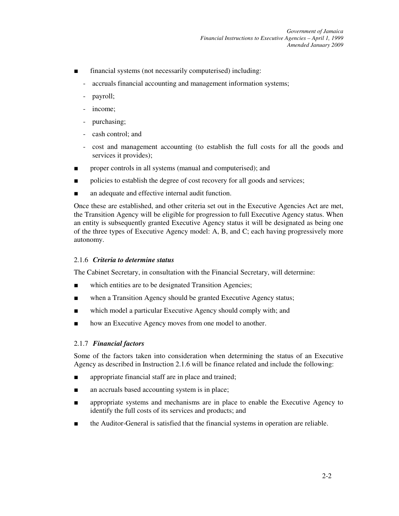- financial systems (not necessarily computerised) including:
	- accruals financial accounting and management information systems;
	- payroll;
	- income;
	- purchasing;
	- cash control; and
	- cost and management accounting (to establish the full costs for all the goods and services it provides);
- proper controls in all systems (manual and computerised); and
- policies to establish the degree of cost recovery for all goods and services;
- an adequate and effective internal audit function.

Once these are established, and other criteria set out in the Executive Agencies Act are met, the Transition Agency will be eligible for progression to full Executive Agency status. When an entity is subsequently granted Executive Agency status it will be designated as being one of the three types of Executive Agency model: A, B, and C; each having progressively more autonomy.

#### 2.1.6 *Criteria to determine status*

The Cabinet Secretary, in consultation with the Financial Secretary, will determine:

- which entities are to be designated Transition Agencies;
- when a Transition Agency should be granted Executive Agency status;
- which model a particular Executive Agency should comply with; and
- how an Executive Agency moves from one model to another.

#### 2.1.7 *Financial factors*

Some of the factors taken into consideration when determining the status of an Executive Agency as described in Instruction 2.1.6 will be finance related and include the following:

- appropriate financial staff are in place and trained;
- an accruals based accounting system is in place;
- appropriate systems and mechanisms are in place to enable the Executive Agency to identify the full costs of its services and products; and
- the Auditor-General is satisfied that the financial systems in operation are reliable.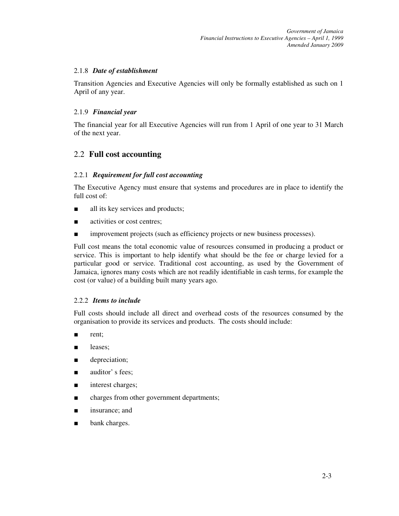#### 2.1.8 *Date of establishment*

Transition Agencies and Executive Agencies will only be formally established as such on 1 April of any year.

#### 2.1.9 *Financial year*

The financial year for all Executive Agencies will run from 1 April of one year to 31 March of the next year.

## 2.2 **Full cost accounting**

#### 2.2.1 *Requirement for full cost accounting*

The Executive Agency must ensure that systems and procedures are in place to identify the full cost of:

- all its key services and products;
- activities or cost centres;
- improvement projects (such as efficiency projects or new business processes).

Full cost means the total economic value of resources consumed in producing a product or service. This is important to help identify what should be the fee or charge levied for a particular good or service. Traditional cost accounting, as used by the Government of Jamaica, ignores many costs which are not readily identifiable in cash terms, for example the cost (or value) of a building built many years ago.

#### 2.2.2 *Items to include*

Full costs should include all direct and overhead costs of the resources consumed by the organisation to provide its services and products. The costs should include:

- rent;
- leases;
- depreciation;
- auditor' s fees;
- interest charges;
- charges from other government departments;
- insurance; and
- bank charges.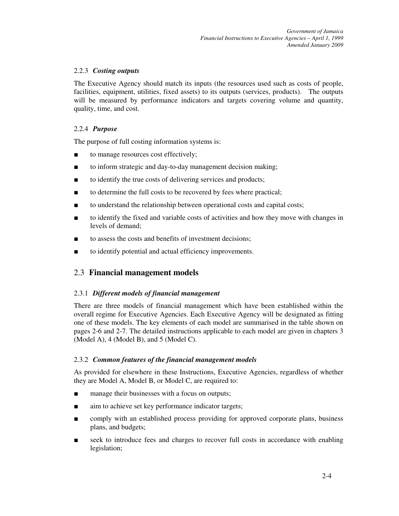#### 2.2.3 *Costing outputs*

The Executive Agency should match its inputs (the resources used such as costs of people, facilities, equipment, utilities, fixed assets) to its outputs (services, products). The outputs will be measured by performance indicators and targets covering volume and quantity, quality, time, and cost.

#### 2.2.4 *Purpose*

The purpose of full costing information systems is:

- to manage resources cost effectively;
- to inform strategic and day-to-day management decision making;
- to identify the true costs of delivering services and products;
- to determine the full costs to be recovered by fees where practical;
- to understand the relationship between operational costs and capital costs;
- to identify the fixed and variable costs of activities and how they move with changes in levels of demand;
- to assess the costs and benefits of investment decisions;
- to identify potential and actual efficiency improvements.

## 2.3 **Financial management models**

#### 2.3.1 *Different models of financial management*

There are three models of financial management which have been established within the overall regime for Executive Agencies. Each Executive Agency will be designated as fitting one of these models. The key elements of each model are summarised in the table shown on pages 2-6 and 2-7. The detailed instructions applicable to each model are given in chapters 3 (Model A), 4 (Model B), and 5 (Model C).

#### 2.3.2 *Common features of the financial management models*

As provided for elsewhere in these Instructions, Executive Agencies, regardless of whether they are Model A, Model B, or Model C, are required to:

- manage their businesses with a focus on outputs;
- aim to achieve set key performance indicator targets;
- comply with an established process providing for approved corporate plans, business plans, and budgets;
- seek to introduce fees and charges to recover full costs in accordance with enabling legislation;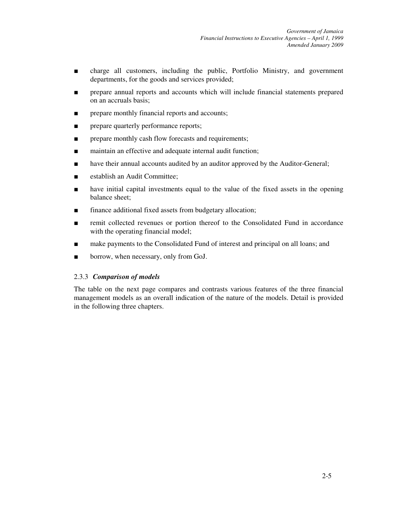- charge all customers, including the public, Portfolio Ministry, and government departments, for the goods and services provided;
- prepare annual reports and accounts which will include financial statements prepared on an accruals basis;
- prepare monthly financial reports and accounts;
- prepare quarterly performance reports;
- prepare monthly cash flow forecasts and requirements;
- maintain an effective and adequate internal audit function;
- have their annual accounts audited by an auditor approved by the Auditor-General;
- establish an Audit Committee:
- have initial capital investments equal to the value of the fixed assets in the opening balance sheet;
- finance additional fixed assets from budgetary allocation;
- remit collected revenues or portion thereof to the Consolidated Fund in accordance with the operating financial model;
- make payments to the Consolidated Fund of interest and principal on all loans; and
- borrow, when necessary, only from GoJ.

#### 2.3.3 *Comparison of models*

The table on the next page compares and contrasts various features of the three financial management models as an overall indication of the nature of the models. Detail is provided in the following three chapters.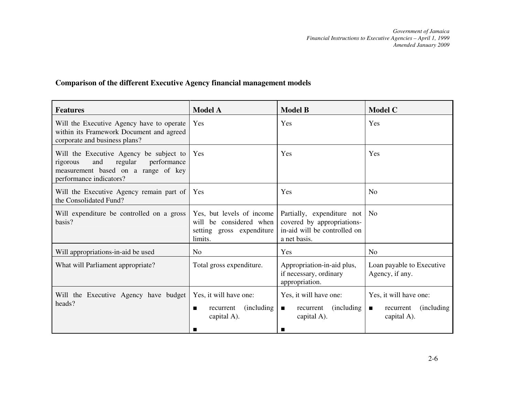## **Comparison of the different Executive Agency financial management models**

| <b>Features</b>                                                                                                                                        | <b>Model A</b>                                                                               | <b>Model B</b>                                                                                           | <b>Model C</b>                                                                             |  |
|--------------------------------------------------------------------------------------------------------------------------------------------------------|----------------------------------------------------------------------------------------------|----------------------------------------------------------------------------------------------------------|--------------------------------------------------------------------------------------------|--|
| Will the Executive Agency have to operate<br>within its Framework Document and agreed<br>corporate and business plans?                                 | <b>Yes</b>                                                                                   | Yes                                                                                                      | Yes                                                                                        |  |
| Will the Executive Agency be subject to<br>and<br>regular<br>performance<br>rigorous<br>measurement based on a range of key<br>performance indicators? | Yes                                                                                          | Yes                                                                                                      | Yes                                                                                        |  |
| Will the Executive Agency remain part of<br>the Consolidated Fund?                                                                                     | <b>Yes</b>                                                                                   | Yes                                                                                                      | N <sub>0</sub>                                                                             |  |
| Will expenditure be controlled on a gross<br>basis?                                                                                                    | Yes, but levels of income<br>will be considered when<br>setting gross expenditure<br>limits. | Partially, expenditure not<br>covered by appropriations-<br>in-aid will be controlled on<br>a net basis. | N <sub>0</sub>                                                                             |  |
| Will appropriations-in-aid be used                                                                                                                     | N <sub>0</sub>                                                                               | Yes                                                                                                      | N <sub>0</sub>                                                                             |  |
| What will Parliament appropriate?                                                                                                                      | Total gross expenditure.                                                                     | Appropriation-in-aid plus,<br>if necessary, ordinary<br>appropriation.                                   | Loan payable to Executive<br>Agency, if any.                                               |  |
| Will the Executive Agency have budget<br>heads?                                                                                                        | Yes, it will have one:<br>(including)<br>recurrent<br>capital A).<br>ш                       | Yes, it will have one:<br>(including)<br>recurrent<br>$\blacksquare$<br>capital A).<br>■                 | Yes, it will have one:<br><i>(including)</i><br>$\blacksquare$<br>recurrent<br>capital A). |  |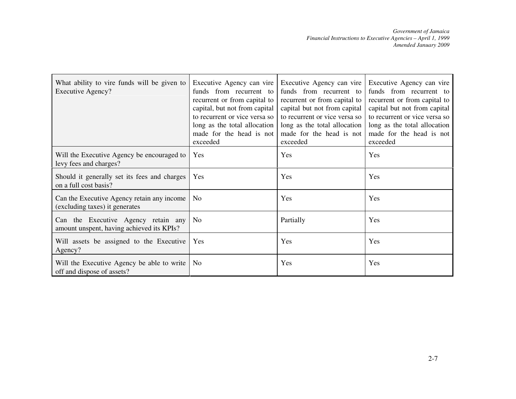| What ability to vire funds will be given to<br><b>Executive Agency?</b>          | Executive Agency can vire<br>funds from recurrent to<br>recurrent or from capital to<br>capital, but not from capital<br>to recurrent or vice versa so<br>long as the total allocation<br>made for the head is not<br>exceeded | Executive Agency can vire<br>funds from recurrent to<br>recurrent or from capital to<br>capital but not from capital<br>to recurrent or vice versa so<br>long as the total allocation<br>made for the head is not<br>exceeded | Executive Agency can vire<br>funds from recurrent to<br>recurrent or from capital to<br>capital but not from capital<br>to recurrent or vice versa so<br>long as the total allocation<br>made for the head is not<br>exceeded |
|----------------------------------------------------------------------------------|--------------------------------------------------------------------------------------------------------------------------------------------------------------------------------------------------------------------------------|-------------------------------------------------------------------------------------------------------------------------------------------------------------------------------------------------------------------------------|-------------------------------------------------------------------------------------------------------------------------------------------------------------------------------------------------------------------------------|
| Will the Executive Agency be encouraged to<br>levy fees and charges?             | Yes                                                                                                                                                                                                                            | Yes                                                                                                                                                                                                                           | Yes                                                                                                                                                                                                                           |
| Should it generally set its fees and charges<br>on a full cost basis?            | Yes                                                                                                                                                                                                                            | Yes                                                                                                                                                                                                                           | Yes                                                                                                                                                                                                                           |
| Can the Executive Agency retain any income<br>(excluding taxes) it generates     | No                                                                                                                                                                                                                             | Yes                                                                                                                                                                                                                           | Yes                                                                                                                                                                                                                           |
| Can the Executive Agency retain any<br>amount unspent, having achieved its KPIs? | No                                                                                                                                                                                                                             | Partially                                                                                                                                                                                                                     | Yes                                                                                                                                                                                                                           |
| Will assets be assigned to the Executive<br>Agency?                              | Yes                                                                                                                                                                                                                            | Yes                                                                                                                                                                                                                           | Yes                                                                                                                                                                                                                           |
| Will the Executive Agency be able to write<br>off and dispose of assets?         | N <sub>o</sub>                                                                                                                                                                                                                 | Yes                                                                                                                                                                                                                           | Yes                                                                                                                                                                                                                           |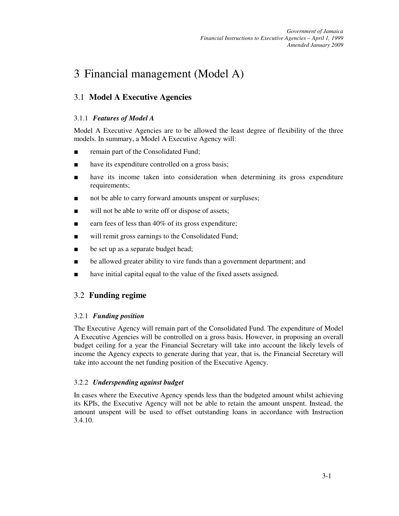## 3 Financial management (Model A)

## 3.1 **Model A Executive Agencies**

#### 3.1.1 *Features of Model A*

Model A Executive Agencies are to be allowed the least degree of flexibility of the three models. In summary, a Model A Executive Agency will:

- remain part of the Consolidated Fund;
- have its expenditure controlled on a gross basis;
- have its income taken into consideration when determining its gross expenditure requirements;
- not be able to carry forward amounts unspent or surpluses;
- will not be able to write off or dispose of assets;
- earn fees of less than 40% of its gross expenditure;
- will remit gross earnings to the Consolidated Fund;
- be set up as a separate budget head;
- be allowed greater ability to vire funds than a government department; and
- have initial capital equal to the value of the fixed assets assigned.

## 3.2 **Funding regime**

#### 3.2.1 *Funding position*

The Executive Agency will remain part of the Consolidated Fund. The expenditure of Model A Executive Agencies will be controlled on a gross basis. However, in proposing an overall budget ceiling for a year the Financial Secretary will take into account the likely levels of income the Agency expects to generate during that year, that is, the Financial Secretary will take into account the net funding position of the Executive Agency.

#### 3.2.2 *Underspending against budget*

In cases where the Executive Agency spends less than the budgeted amount whilst achieving its KPIs, the Executive Agency will not be able to retain the amount unspent. Instead, the amount unspent will be used to offset outstanding loans in accordance with Instruction 3.4.10.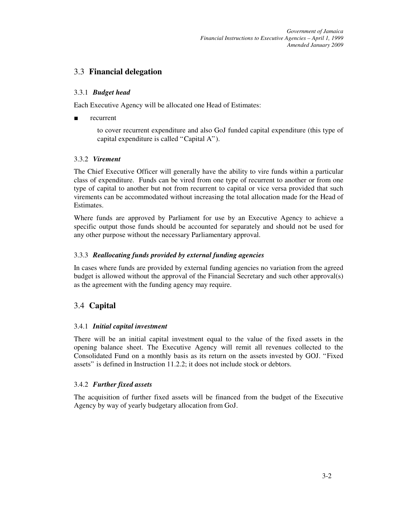## 3.3 **Financial delegation**

#### 3.3.1 *Budget head*

Each Executive Agency will be allocated one Head of Estimates:

recurrent

to cover recurrent expenditure and also GoJ funded capital expenditure (this type of capital expenditure is called "Capital A").

## 3.3.2 *Virement*

The Chief Executive Officer will generally have the ability to vire funds within a particular class of expenditure. Funds can be vired from one type of recurrent to another or from one type of capital to another but not from recurrent to capital or vice versa provided that such virements can be accommodated without increasing the total allocation made for the Head of Estimates.

Where funds are approved by Parliament for use by an Executive Agency to achieve a specific output those funds should be accounted for separately and should not be used for any other purpose without the necessary Parliamentary approval.

#### 3.3.3 *Reallocating funds provided by external funding agencies*

In cases where funds are provided by external funding agencies no variation from the agreed budget is allowed without the approval of the Financial Secretary and such other approval(s) as the agreement with the funding agency may require.

## 3.4 **Capital**

## 3.4.1 *Initial capital investment*

There will be an initial capital investment equal to the value of the fixed assets in the opening balance sheet. The Executive Agency will remit all revenues collected to the Consolidated Fund on a monthly basis as its return on the assets invested by GOJ. "Fixed assets" is defined in Instruction 11.2.2; it does not include stock or debtors.

## 3.4.2 *Further fixed assets*

The acquisition of further fixed assets will be financed from the budget of the Executive Agency by way of yearly budgetary allocation from GoJ.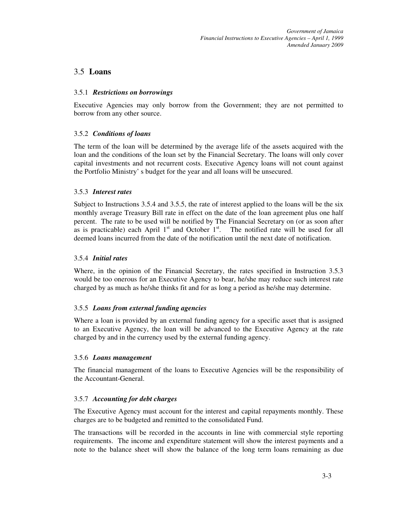## 3.5 **Loans**

#### 3.5.1 *Restrictions on borrowings*

Executive Agencies may only borrow from the Government; they are not permitted to borrow from any other source.

#### 3.5.2 *Conditions of loans*

The term of the loan will be determined by the average life of the assets acquired with the loan and the conditions of the loan set by the Financial Secretary. The loans will only cover capital investments and not recurrent costs. Executive Agency loans will not count against the Portfolio Ministry' s budget for the year and all loans will be unsecured.

#### 3.5.3 *Interest rates*

Subject to Instructions 3.5.4 and 3.5.5, the rate of interest applied to the loans will be the six monthly average Treasury Bill rate in effect on the date of the loan agreement plus one half percent. The rate to be used will be notified by The Financial Secretary on (or as soon after as is practicable) each April  $1<sup>st</sup>$  and October  $1<sup>st</sup>$ . The notified rate will be used for all deemed loans incurred from the date of the notification until the next date of notification.

#### 3.5.4 *Initial rates*

Where, in the opinion of the Financial Secretary, the rates specified in Instruction 3.5.3 would be too onerous for an Executive Agency to bear, he/she may reduce such interest rate charged by as much as he/she thinks fit and for as long a period as he/she may determine.

## 3.5.5 *Loans from external funding agencies*

Where a loan is provided by an external funding agency for a specific asset that is assigned to an Executive Agency, the loan will be advanced to the Executive Agency at the rate charged by and in the currency used by the external funding agency.

#### 3.5.6 *Loans management*

The financial management of the loans to Executive Agencies will be the responsibility of the Accountant-General.

## 3.5.7 *Accounting for debt charges*

The Executive Agency must account for the interest and capital repayments monthly. These charges are to be budgeted and remitted to the consolidated Fund.

The transactions will be recorded in the accounts in line with commercial style reporting requirements. The income and expenditure statement will show the interest payments and a note to the balance sheet will show the balance of the long term loans remaining as due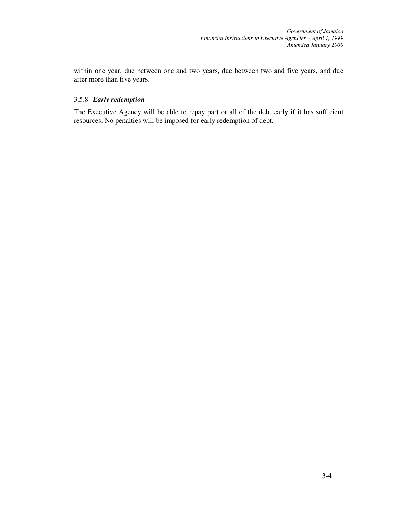within one year, due between one and two years, due between two and five years, and due after more than five years.

#### 3.5.8 *Early redemption*

The Executive Agency will be able to repay part or all of the debt early if it has sufficient resources. No penalties will be imposed for early redemption of debt.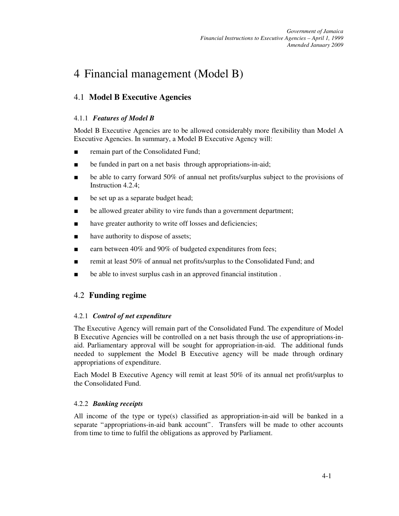## 4 Financial management (Model B)

## 4.1 **Model B Executive Agencies**

## 4.1.1 *Features of Model B*

Model B Executive Agencies are to be allowed considerably more flexibility than Model A Executive Agencies. In summary, a Model B Executive Agency will:

- remain part of the Consolidated Fund;
- be funded in part on a net basis through appropriations-in-aid;
- be able to carry forward 50% of annual net profits/surplus subject to the provisions of Instruction 4.2.4;
- be set up as a separate budget head;
- be allowed greater ability to vire funds than a government department;
- have greater authority to write off losses and deficiencies;
- have authority to dispose of assets;
- earn between 40% and 90% of budgeted expenditures from fees;
- remit at least 50% of annual net profits/surplus to the Consolidated Fund; and
- be able to invest surplus cash in an approved financial institution.

## 4.2 **Funding regime**

## 4.2.1 *Control of net expenditure*

The Executive Agency will remain part of the Consolidated Fund. The expenditure of Model B Executive Agencies will be controlled on a net basis through the use of appropriations-inaid. Parliamentary approval will be sought for appropriation-in-aid. The additional funds needed to supplement the Model B Executive agency will be made through ordinary appropriations of expenditure.

Each Model B Executive Agency will remit at least 50% of its annual net profit/surplus to the Consolidated Fund.

## 4.2.2 *Banking receipts*

All income of the type or type(s) classified as appropriation-in-aid will be banked in a separate "appropriations-in-aid bank account". Transfers will be made to other accounts from time to time to fulfil the obligations as approved by Parliament.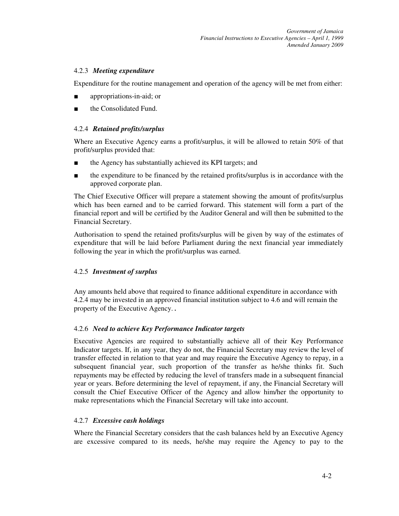#### 4.2.3 *Meeting expenditure*

Expenditure for the routine management and operation of the agency will be met from either:

- appropriations-in-aid; or
- the Consolidated Fund.

#### 4.2.4 *Retained profits/surplus*

Where an Executive Agency earns a profit/surplus, it will be allowed to retain 50% of that profit/surplus provided that:

- the Agency has substantially achieved its KPI targets; and
- the expenditure to be financed by the retained profits/surplus is in accordance with the approved corporate plan.

The Chief Executive Officer will prepare a statement showing the amount of profits/surplus which has been earned and to be carried forward. This statement will form a part of the financial report and will be certified by the Auditor General and will then be submitted to the Financial Secretary.

Authorisation to spend the retained profits/surplus will be given by way of the estimates of expenditure that will be laid before Parliament during the next financial year immediately following the year in which the profit/surplus was earned.

#### 4.2.5 *Investment of surplus*

Any amounts held above that required to finance additional expenditure in accordance with 4.2.4 may be invested in an approved financial institution subject to 4.6 and will remain the property of the Executive Agency. *.* 

#### 4.2.6 *Need to achieve Key Performance Indicator targets*

Executive Agencies are required to substantially achieve all of their Key Performance Indicator targets. If, in any year, they do not, the Financial Secretary may review the level of transfer effected in relation to that year and may require the Executive Agency to repay, in a subsequent financial year, such proportion of the transfer as he/she thinks fit. Such repayments may be effected by reducing the level of transfers made in a subsequent financial year or years. Before determining the level of repayment, if any, the Financial Secretary will consult the Chief Executive Officer of the Agency and allow him/her the opportunity to make representations which the Financial Secretary will take into account.

## 4.2.7 *Excessive cash holdings*

Where the Financial Secretary considers that the cash balances held by an Executive Agency are excessive compared to its needs, he/she may require the Agency to pay to the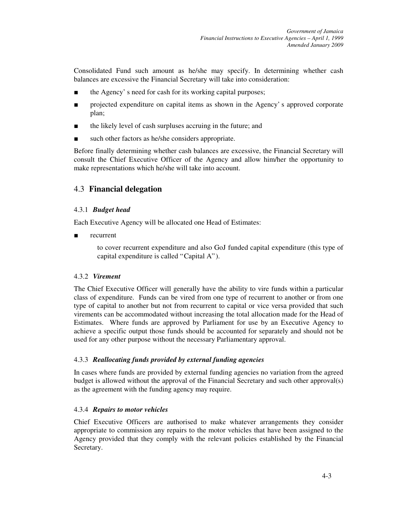Consolidated Fund such amount as he/she may specify. In determining whether cash balances are excessive the Financial Secretary will take into consideration:

- the Agency' s need for cash for its working capital purposes;
- projected expenditure on capital items as shown in the Agency' s approved corporate plan;
- the likely level of cash surpluses accruing in the future; and
- such other factors as he/she considers appropriate.

Before finally determining whether cash balances are excessive, the Financial Secretary will consult the Chief Executive Officer of the Agency and allow him/her the opportunity to make representations which he/she will take into account.

## 4.3 **Financial delegation**

#### 4.3.1 *Budget head*

Each Executive Agency will be allocated one Head of Estimates:

recurrent

to cover recurrent expenditure and also GoJ funded capital expenditure (this type of capital expenditure is called "Capital A").

#### 4.3.2 *Virement*

The Chief Executive Officer will generally have the ability to vire funds within a particular class of expenditure. Funds can be vired from one type of recurrent to another or from one type of capital to another but not from recurrent to capital or vice versa provided that such virements can be accommodated without increasing the total allocation made for the Head of Estimates. Where funds are approved by Parliament for use by an Executive Agency to achieve a specific output those funds should be accounted for separately and should not be used for any other purpose without the necessary Parliamentary approval.

#### 4.3.3 *Reallocating funds provided by external funding agencies*

In cases where funds are provided by external funding agencies no variation from the agreed budget is allowed without the approval of the Financial Secretary and such other approval(s) as the agreement with the funding agency may require.

#### 4.3.4 *Repairs to motor vehicles*

Chief Executive Officers are authorised to make whatever arrangements they consider appropriate to commission any repairs to the motor vehicles that have been assigned to the Agency provided that they comply with the relevant policies established by the Financial Secretary.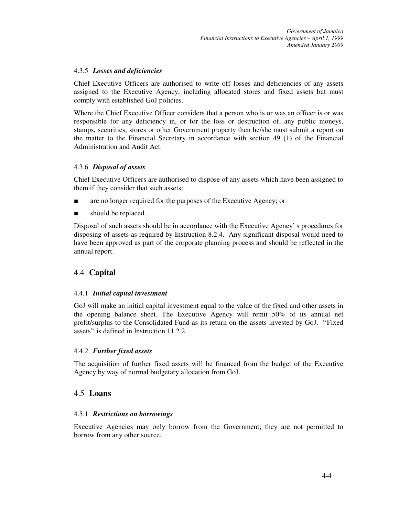#### 4.3.5 *Losses and deficiencies*

Chief Executive Officers are authorised to write off losses and deficiencies of any assets assigned to the Executive Agency, including allocated stores and fixed assets but must comply with established GoJ policies.

Where the Chief Executive Officer considers that a person who is or was an officer is or was responsible for any deficiency in, or for the loss or destruction of, any public moneys, stamps, securities, stores or other Government property then he/she must submit a report on the matter to the Financial Secretary in accordance with section 49 (1) of the Financial Administration and Audit Act.

#### 4.3.6 *Disposal of assets*

Chief Executive Officers are authorised to dispose of any assets which have been assigned to them if they consider that such assets:

- are no longer required for the purposes of the Executive Agency; or
- should be replaced.

Disposal of such assets should be in accordance with the Executive Agency' s procedures for disposing of assets as required by Instruction 8.2.4. Any significant disposal would need to have been approved as part of the corporate planning process and should be reflected in the annual report.

## 4.4 **Capital**

#### 4.4.1 *Initial capital investment*

GoJ will make an initial capital investment equal to the value of the fixed and other assets in the opening balance sheet. The Executive Agency will remit 50% of its annual net profit/surplus to the Consolidated Fund as its return on the assets invested by GoJ. "Fixed assets" is defined in Instruction 11.2.2.

#### 4.4.2 *Further fixed assets*

The acquisition of further fixed assets will be financed from the budget of the Executive Agency by way of normal budgetary allocation from GoJ.

## 4.5 **Loans**

#### 4.5.1 *Restrictions on borrowings*

Executive Agencies may only borrow from the Government; they are not permitted to borrow from any other source.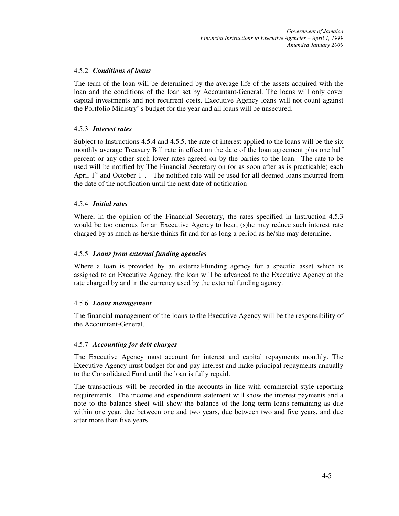#### 4.5.2 *Conditions of loans*

The term of the loan will be determined by the average life of the assets acquired with the loan and the conditions of the loan set by Accountant-General. The loans will only cover capital investments and not recurrent costs. Executive Agency loans will not count against the Portfolio Ministry' s budget for the year and all loans will be unsecured.

#### 4.5.3 *Interest rates*

Subject to Instructions 4.5.4 and 4.5.5, the rate of interest applied to the loans will be the six monthly average Treasury Bill rate in effect on the date of the loan agreement plus one half percent or any other such lower rates agreed on by the parties to the loan. The rate to be used will be notified by The Financial Secretary on (or as soon after as is practicable) each April  $1<sup>st</sup>$  and October  $1<sup>st</sup>$ . The notified rate will be used for all deemed loans incurred from the date of the notification until the next date of notification

#### 4.5.4 *Initial rates*

Where, in the opinion of the Financial Secretary, the rates specified in Instruction 4.5.3 would be too onerous for an Executive Agency to bear, (s)he may reduce such interest rate charged by as much as he/she thinks fit and for as long a period as he/she may determine.

#### 4.5.5 *Loans from external funding agencies*

Where a loan is provided by an external-funding agency for a specific asset which is assigned to an Executive Agency, the loan will be advanced to the Executive Agency at the rate charged by and in the currency used by the external funding agency.

#### 4.5.6 *Loans management*

The financial management of the loans to the Executive Agency will be the responsibility of the Accountant-General.

#### 4.5.7 *Accounting for debt charges*

The Executive Agency must account for interest and capital repayments monthly. The Executive Agency must budget for and pay interest and make principal repayments annually to the Consolidated Fund until the loan is fully repaid.

The transactions will be recorded in the accounts in line with commercial style reporting requirements. The income and expenditure statement will show the interest payments and a note to the balance sheet will show the balance of the long term loans remaining as due within one year, due between one and two years, due between two and five years, and due after more than five years.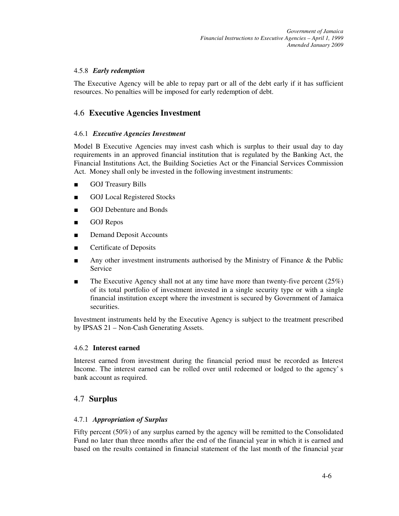#### 4.5.8 *Early redemption*

The Executive Agency will be able to repay part or all of the debt early if it has sufficient resources. No penalties will be imposed for early redemption of debt.

## 4.6 **Executive Agencies Investment**

#### 4.6.1 *Executive Agencies Investment*

Model B Executive Agencies may invest cash which is surplus to their usual day to day requirements in an approved financial institution that is regulated by the Banking Act, the Financial Institutions Act, the Building Societies Act or the Financial Services Commission Act. Money shall only be invested in the following investment instruments:

- GOJ Treasury Bills
- GOJ Local Registered Stocks
- GOJ Debenture and Bonds
- GOJ Repos
- Demand Deposit Accounts
- Certificate of Deposits
- Any other investment instruments authorised by the Ministry of Finance & the Public Service
- $\blacksquare$  The Executive Agency shall not at any time have more than twenty-five percent (25%) of its total portfolio of investment invested in a single security type or with a single financial institution except where the investment is secured by Government of Jamaica securities.

Investment instruments held by the Executive Agency is subject to the treatment prescribed by IPSAS 21 – Non-Cash Generating Assets.

#### 4.6.2 **Interest earned**

Interest earned from investment during the financial period must be recorded as Interest Income. The interest earned can be rolled over until redeemed or lodged to the agency' s bank account as required.

## 4.7 **Surplus**

#### 4.7.1 *Appropriation of Surplus*

Fifty percent (50%) of any surplus earned by the agency will be remitted to the Consolidated Fund no later than three months after the end of the financial year in which it is earned and based on the results contained in financial statement of the last month of the financial year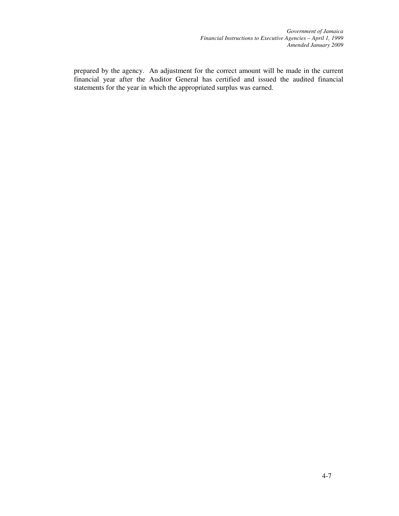*Government of Jamaica Financial Instructions to Executive Agencies – April 1, 1999 Amended January 2009*

prepared by the agency. An adjustment for the correct amount will be made in the current financial year after the Auditor General has certified and issued the audited financial statements for the year in which the appropriated surplus was earned.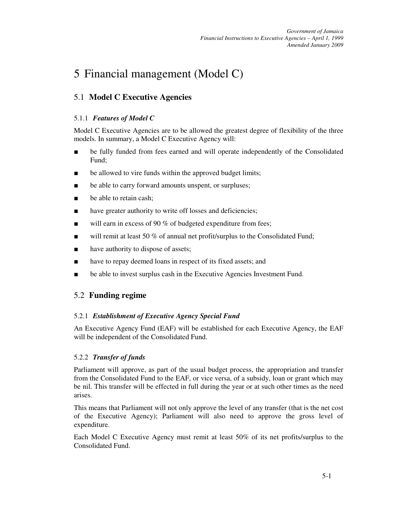## 5 Financial management (Model C)

## 5.1 **Model C Executive Agencies**

## 5.1.1 *Features of Model C*

Model C Executive Agencies are to be allowed the greatest degree of flexibility of the three models. In summary, a Model C Executive Agency will:

- be fully funded from fees earned and will operate independently of the Consolidated Fund;
- be allowed to vire funds within the approved budget limits;
- be able to carry forward amounts unspent, or surpluses;
- be able to retain cash:
- have greater authority to write off losses and deficiencies;
- will earn in excess of 90  $%$  of budgeted expenditure from fees;
- will remit at least 50 % of annual net profit/surplus to the Consolidated Fund;
- have authority to dispose of assets;
- have to repay deemed loans in respect of its fixed assets; and
- be able to invest surplus cash in the Executive Agencies Investment Fund.

## 5.2 **Funding regime**

## 5.2.1 *Establishment of Executive Agency Special Fund*

An Executive Agency Fund (EAF) will be established for each Executive Agency, the EAF will be independent of the Consolidated Fund.

## 5.2.2 *Transfer of funds*

Parliament will approve, as part of the usual budget process, the appropriation and transfer from the Consolidated Fund to the EAF, or vice versa, of a subsidy, loan or grant which may be nil. This transfer will be effected in full during the year or at such other times as the need arises.

This means that Parliament will not only approve the level of any transfer (that is the net cost of the Executive Agency); Parliament will also need to approve the gross level of expenditure.

Each Model C Executive Agency must remit at least 50% of its net profits/surplus to the Consolidated Fund.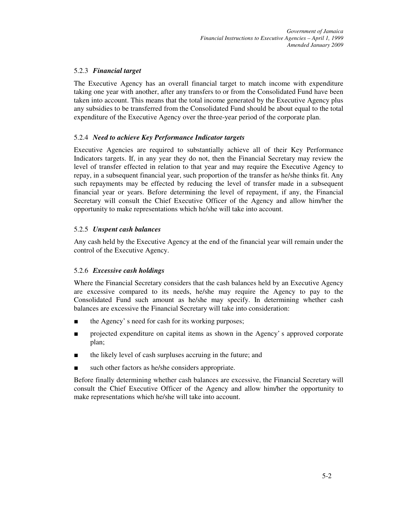## 5.2.3 *Financial target*

The Executive Agency has an overall financial target to match income with expenditure taking one year with another, after any transfers to or from the Consolidated Fund have been taken into account. This means that the total income generated by the Executive Agency plus any subsidies to be transferred from the Consolidated Fund should be about equal to the total expenditure of the Executive Agency over the three-year period of the corporate plan.

#### 5.2.4 *Need to achieve Key Performance Indicator targets*

Executive Agencies are required to substantially achieve all of their Key Performance Indicators targets. If, in any year they do not, then the Financial Secretary may review the level of transfer effected in relation to that year and may require the Executive Agency to repay, in a subsequent financial year, such proportion of the transfer as he/she thinks fit. Any such repayments may be effected by reducing the level of transfer made in a subsequent financial year or years. Before determining the level of repayment, if any, the Financial Secretary will consult the Chief Executive Officer of the Agency and allow him/her the opportunity to make representations which he/she will take into account.

#### 5.2.5 *Unspent cash balances*

Any cash held by the Executive Agency at the end of the financial year will remain under the control of the Executive Agency.

#### 5.2.6 *Excessive cash holdings*

Where the Financial Secretary considers that the cash balances held by an Executive Agency are excessive compared to its needs, he/she may require the Agency to pay to the Consolidated Fund such amount as he/she may specify. In determining whether cash balances are excessive the Financial Secretary will take into consideration:

- the Agency' s need for cash for its working purposes;
- projected expenditure on capital items as shown in the Agency' s approved corporate plan;
- the likely level of cash surpluses accruing in the future; and
- such other factors as he/she considers appropriate.

Before finally determining whether cash balances are excessive, the Financial Secretary will consult the Chief Executive Officer of the Agency and allow him/her the opportunity to make representations which he/she will take into account.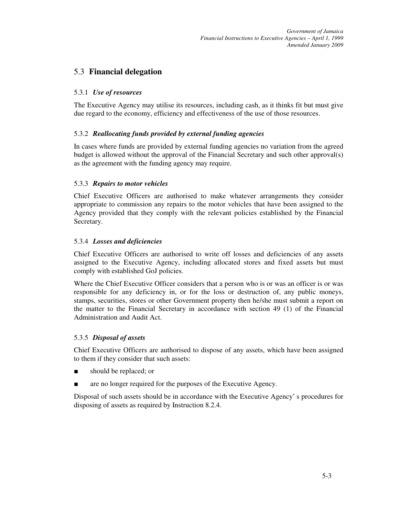## 5.3 **Financial delegation**

#### 5.3.1 *Use of resources*

The Executive Agency may utilise its resources, including cash, as it thinks fit but must give due regard to the economy, efficiency and effectiveness of the use of those resources.

#### 5.3.2 *Reallocating funds provided by external funding agencies*

In cases where funds are provided by external funding agencies no variation from the agreed budget is allowed without the approval of the Financial Secretary and such other approval(s) as the agreement with the funding agency may require.

#### 5.3.3 *Repairs to motor vehicles*

Chief Executive Officers are authorised to make whatever arrangements they consider appropriate to commission any repairs to the motor vehicles that have been assigned to the Agency provided that they comply with the relevant policies established by the Financial Secretary.

#### 5.3.4 *Losses and deficiencies*

Chief Executive Officers are authorised to write off losses and deficiencies of any assets assigned to the Executive Agency, including allocated stores and fixed assets but must comply with established GoJ policies.

Where the Chief Executive Officer considers that a person who is or was an officer is or was responsible for any deficiency in, or for the loss or destruction of, any public moneys, stamps, securities, stores or other Government property then he/she must submit a report on the matter to the Financial Secretary in accordance with section 49 (1) of the Financial Administration and Audit Act.

#### 5.3.5 *Disposal of assets*

Chief Executive Officers are authorised to dispose of any assets, which have been assigned to them if they consider that such assets:

- should be replaced; or
- are no longer required for the purposes of the Executive Agency.

Disposal of such assets should be in accordance with the Executive Agency' s procedures for disposing of assets as required by Instruction 8.2.4.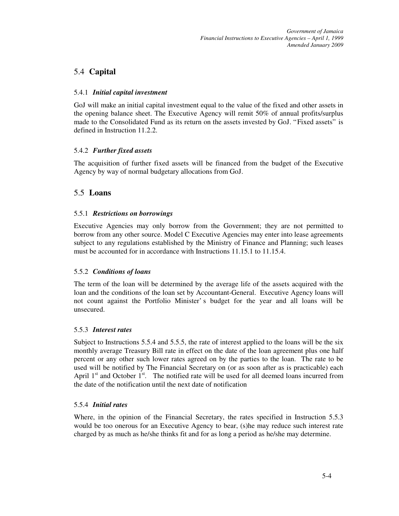## 5.4 **Capital**

## 5.4.1 *Initial capital investment*

GoJ will make an initial capital investment equal to the value of the fixed and other assets in the opening balance sheet. The Executive Agency will remit 50% of annual profits/surplus made to the Consolidated Fund as its return on the assets invested by GoJ. "Fixed assets" is defined in Instruction 11.2.2.

## 5.4.2 *Further fixed assets*

The acquisition of further fixed assets will be financed from the budget of the Executive Agency by way of normal budgetary allocations from GoJ.

## 5.5 **Loans**

## 5.5.1 *Restrictions on borrowings*

Executive Agencies may only borrow from the Government; they are not permitted to borrow from any other source. Model C Executive Agencies may enter into lease agreements subject to any regulations established by the Ministry of Finance and Planning; such leases must be accounted for in accordance with Instructions 11.15.1 to 11.15.4.

## 5.5.2 *Conditions of loans*

The term of the loan will be determined by the average life of the assets acquired with the loan and the conditions of the loan set by Accountant-General. Executive Agency loans will not count against the Portfolio Minister' s budget for the year and all loans will be unsecured.

## 5.5.3 *Interest rates*

Subject to Instructions 5.5.4 and 5.5.5, the rate of interest applied to the loans will be the six monthly average Treasury Bill rate in effect on the date of the loan agreement plus one half percent or any other such lower rates agreed on by the parties to the loan. The rate to be used will be notified by The Financial Secretary on (or as soon after as is practicable) each April  $1<sup>st</sup>$  and October  $1<sup>st</sup>$ . The notified rate will be used for all deemed loans incurred from the date of the notification until the next date of notification

## 5.5.4 *Initial rates*

Where, in the opinion of the Financial Secretary, the rates specified in Instruction 5.5.3 would be too onerous for an Executive Agency to bear, (s)he may reduce such interest rate charged by as much as he/she thinks fit and for as long a period as he/she may determine.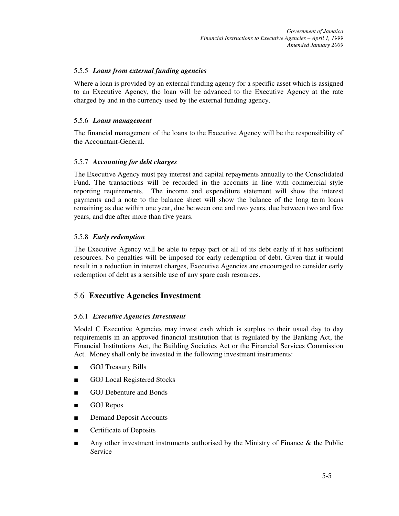#### 5.5.5 *Loans from external funding agencies*

Where a loan is provided by an external funding agency for a specific asset which is assigned to an Executive Agency, the loan will be advanced to the Executive Agency at the rate charged by and in the currency used by the external funding agency.

#### 5.5.6 *Loans management*

The financial management of the loans to the Executive Agency will be the responsibility of the Accountant-General.

#### 5.5.7 *Accounting for debt charges*

The Executive Agency must pay interest and capital repayments annually to the Consolidated Fund. The transactions will be recorded in the accounts in line with commercial style reporting requirements. The income and expenditure statement will show the interest payments and a note to the balance sheet will show the balance of the long term loans remaining as due within one year, due between one and two years, due between two and five years, and due after more than five years.

#### 5.5.8 *Early redemption*

The Executive Agency will be able to repay part or all of its debt early if it has sufficient resources. No penalties will be imposed for early redemption of debt. Given that it would result in a reduction in interest charges, Executive Agencies are encouraged to consider early redemption of debt as a sensible use of any spare cash resources.

## 5.6 **Executive Agencies Investment**

#### 5.6.1 *Executive Agencies Investment*

Model C Executive Agencies may invest cash which is surplus to their usual day to day requirements in an approved financial institution that is regulated by the Banking Act, the Financial Institutions Act, the Building Societies Act or the Financial Services Commission Act. Money shall only be invested in the following investment instruments:

- **GOJ Treasury Bills**
- GOJ Local Registered Stocks
- GOJ Debenture and Bonds
- GOJ Repos
- Demand Deposit Accounts
- Certificate of Deposits
- Any other investment instruments authorised by the Ministry of Finance & the Public Service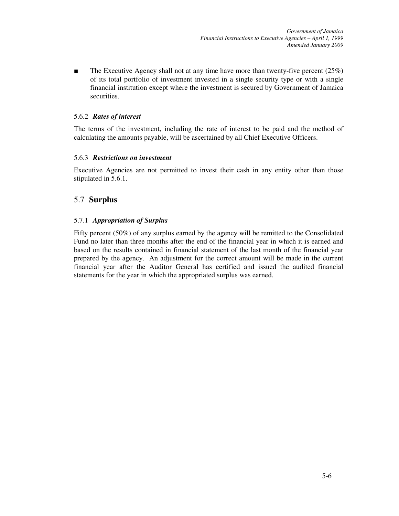**The Executive Agency shall not at any time have more than twenty-five percent**  $(25\%)$ of its total portfolio of investment invested in a single security type or with a single financial institution except where the investment is secured by Government of Jamaica securities.

#### 5.6.2 *Rates of interest*

The terms of the investment, including the rate of interest to be paid and the method of calculating the amounts payable, will be ascertained by all Chief Executive Officers.

#### 5.6.3 *Restrictions on investment*

Executive Agencies are not permitted to invest their cash in any entity other than those stipulated in 5.6.1.

## 5.7 **Surplus**

## 5.7.1 *Appropriation of Surplus*

Fifty percent (50%) of any surplus earned by the agency will be remitted to the Consolidated Fund no later than three months after the end of the financial year in which it is earned and based on the results contained in financial statement of the last month of the financial year prepared by the agency. An adjustment for the correct amount will be made in the current financial year after the Auditor General has certified and issued the audited financial statements for the year in which the appropriated surplus was earned.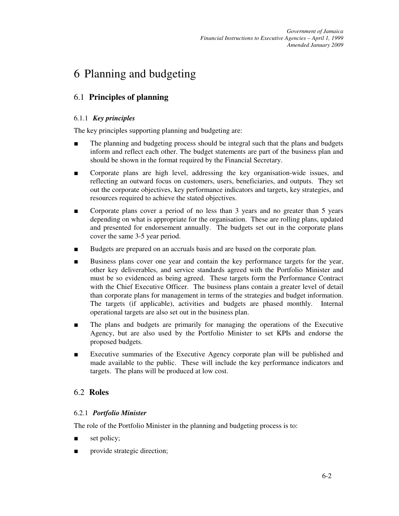## 6 Planning and budgeting

## 6.1 **Principles of planning**

#### 6.1.1 *Key principles*

The key principles supporting planning and budgeting are:

- The planning and budgeting process should be integral such that the plans and budgets inform and reflect each other. The budget statements are part of the business plan and should be shown in the format required by the Financial Secretary.
- Corporate plans are high level, addressing the key organisation-wide issues, and reflecting an outward focus on customers, users, beneficiaries, and outputs. They set out the corporate objectives, key performance indicators and targets, key strategies, and resources required to achieve the stated objectives.
- Corporate plans cover a period of no less than 3 years and no greater than 5 years depending on what is appropriate for the organisation. These are rolling plans, updated and presented for endorsement annually. The budgets set out in the corporate plans cover the same 3-5 year period.
- Budgets are prepared on an accruals basis and are based on the corporate plan.
- Business plans cover one year and contain the key performance targets for the year, other key deliverables, and service standards agreed with the Portfolio Minister and must be so evidenced as being agreed. These targets form the Performance Contract with the Chief Executive Officer. The business plans contain a greater level of detail than corporate plans for management in terms of the strategies and budget information. The targets (if applicable), activities and budgets are phased monthly. Internal operational targets are also set out in the business plan.
- The plans and budgets are primarily for managing the operations of the Executive Agency, but are also used by the Portfolio Minister to set KPIs and endorse the proposed budgets.
- Executive summaries of the Executive Agency corporate plan will be published and made available to the public. These will include the key performance indicators and targets. The plans will be produced at low cost.

## 6.2 **Roles**

## 6.2.1 *Portfolio Minister*

The role of the Portfolio Minister in the planning and budgeting process is to:

- set policy;
- provide strategic direction;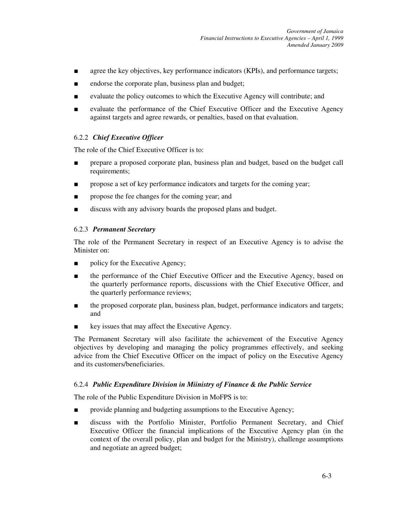- agree the key objectives, key performance indicators (KPIs), and performance targets;
- endorse the corporate plan, business plan and budget;
- evaluate the policy outcomes to which the Executive Agency will contribute; and
- evaluate the performance of the Chief Executive Officer and the Executive Agency against targets and agree rewards, or penalties, based on that evaluation.

#### 6.2.2 *Chief Executive Officer*

The role of the Chief Executive Officer is to:

- prepare a proposed corporate plan, business plan and budget, based on the budget call requirements;
- propose a set of key performance indicators and targets for the coming year;
- propose the fee changes for the coming year; and
- discuss with any advisory boards the proposed plans and budget.

#### 6.2.3 *Permanent Secretary*

The role of the Permanent Secretary in respect of an Executive Agency is to advise the Minister on:

- policy for the Executive Agency;
- the performance of the Chief Executive Officer and the Executive Agency, based on the quarterly performance reports, discussions with the Chief Executive Officer, and the quarterly performance reviews;
- the proposed corporate plan, business plan, budget, performance indicators and targets; and
- key issues that may affect the Executive Agency.

The Permanent Secretary will also facilitate the achievement of the Executive Agency objectives by developing and managing the policy programmes effectively, and seeking advice from the Chief Executive Officer on the impact of policy on the Executive Agency and its customers/beneficiaries.

#### 6.2.4 *Public Expenditure Division in Miinistry of Finance & the Public Service*

The role of the Public Expenditure Division in MoFPS is to:

- provide planning and budgeting assumptions to the Executive Agency;
- discuss with the Portfolio Minister, Portfolio Permanent Secretary, and Chief Executive Officer the financial implications of the Executive Agency plan (in the context of the overall policy, plan and budget for the Ministry), challenge assumptions and negotiate an agreed budget;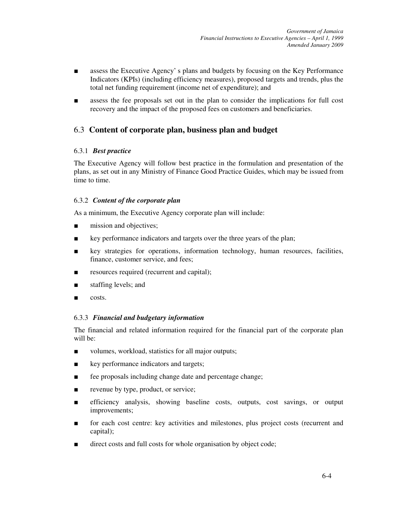- assess the Executive Agency' s plans and budgets by focusing on the Key Performance Indicators (KPIs) (including efficiency measures), proposed targets and trends, plus the total net funding requirement (income net of expenditure); and
- assess the fee proposals set out in the plan to consider the implications for full cost recovery and the impact of the proposed fees on customers and beneficiaries.

# 6.3 **Content of corporate plan, business plan and budget**

# 6.3.1 *Best practice*

The Executive Agency will follow best practice in the formulation and presentation of the plans, as set out in any Ministry of Finance Good Practice Guides, which may be issued from time to time.

# 6.3.2 *Content of the corporate plan*

As a minimum, the Executive Agency corporate plan will include:

- mission and objectives;
- key performance indicators and targets over the three years of the plan;
- key strategies for operations, information technology, human resources, facilities, finance, customer service, and fees;
- resources required (recurrent and capital);
- staffing levels; and
- costs.

# 6.3.3 *Financial and budgetary information*

The financial and related information required for the financial part of the corporate plan will be:

- volumes, workload, statistics for all major outputs;
- key performance indicators and targets;
- fee proposals including change date and percentage change;
- revenue by type, product, or service;
- efficiency analysis, showing baseline costs, outputs, cost savings, or output improvements;
- for each cost centre: key activities and milestones, plus project costs (recurrent and capital);
- direct costs and full costs for whole organisation by object code;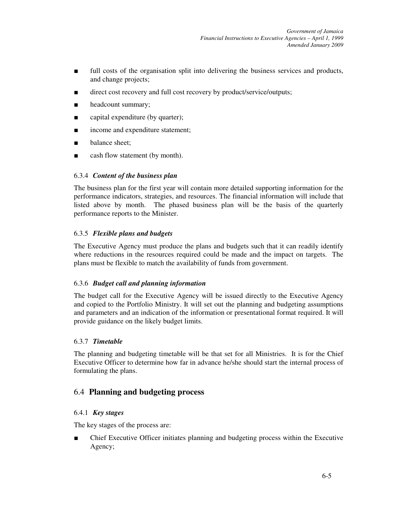- full costs of the organisation split into delivering the business services and products, and change projects;
- direct cost recovery and full cost recovery by product/service/outputs;
- headcount summary;
- capital expenditure (by quarter);
- income and expenditure statement;
- balance sheet;
- cash flow statement (by month).

# 6.3.4 *Content of the business plan*

The business plan for the first year will contain more detailed supporting information for the performance indicators, strategies, and resources. The financial information will include that listed above by month. The phased business plan will be the basis of the quarterly performance reports to the Minister.

# 6.3.5 *Flexible plans and budgets*

The Executive Agency must produce the plans and budgets such that it can readily identify where reductions in the resources required could be made and the impact on targets. The plans must be flexible to match the availability of funds from government.

# 6.3.6 *Budget call and planning information*

The budget call for the Executive Agency will be issued directly to the Executive Agency and copied to the Portfolio Ministry. It will set out the planning and budgeting assumptions and parameters and an indication of the information or presentational format required. It will provide guidance on the likely budget limits.

# 6.3.7 *Timetable*

The planning and budgeting timetable will be that set for all Ministries. It is for the Chief Executive Officer to determine how far in advance he/she should start the internal process of formulating the plans.

# 6.4 **Planning and budgeting process**

# 6.4.1 *Key stages*

The key stages of the process are:

■ Chief Executive Officer initiates planning and budgeting process within the Executive Agency;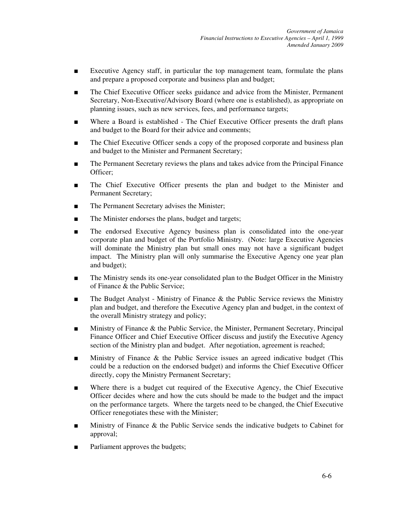- Executive Agency staff, in particular the top management team, formulate the plans and prepare a proposed corporate and business plan and budget;
- The Chief Executive Officer seeks guidance and advice from the Minister, Permanent Secretary, Non-Executive/Advisory Board (where one is established), as appropriate on planning issues, such as new services, fees, and performance targets;
- Where a Board is established The Chief Executive Officer presents the draft plans and budget to the Board for their advice and comments;
- The Chief Executive Officer sends a copy of the proposed corporate and business plan and budget to the Minister and Permanent Secretary;
- The Permanent Secretary reviews the plans and takes advice from the Principal Finance Officer;
- The Chief Executive Officer presents the plan and budget to the Minister and Permanent Secretary;
- The Permanent Secretary advises the Minister;
- The Minister endorses the plans, budget and targets;
- The endorsed Executive Agency business plan is consolidated into the one-year corporate plan and budget of the Portfolio Ministry. (Note: large Executive Agencies will dominate the Ministry plan but small ones may not have a significant budget impact. The Ministry plan will only summarise the Executive Agency one year plan and budget);
- The Ministry sends its one-year consolidated plan to the Budget Officer in the Ministry of Finance & the Public Service;
- The Budget Analyst Ministry of Finance & the Public Service reviews the Ministry plan and budget, and therefore the Executive Agency plan and budget, in the context of the overall Ministry strategy and policy;
- Ministry of Finance & the Public Service, the Minister, Permanent Secretary, Principal Finance Officer and Chief Executive Officer discuss and justify the Executive Agency section of the Ministry plan and budget. After negotiation, agreement is reached;
- Ministry of Finance & the Public Service issues an agreed indicative budget (This could be a reduction on the endorsed budget) and informs the Chief Executive Officer directly, copy the Ministry Permanent Secretary;
- Where there is a budget cut required of the Executive Agency, the Chief Executive Officer decides where and how the cuts should be made to the budget and the impact on the performance targets. Where the targets need to be changed, the Chief Executive Officer renegotiates these with the Minister;
- Ministry of Finance & the Public Service sends the indicative budgets to Cabinet for approval;
- Parliament approves the budgets;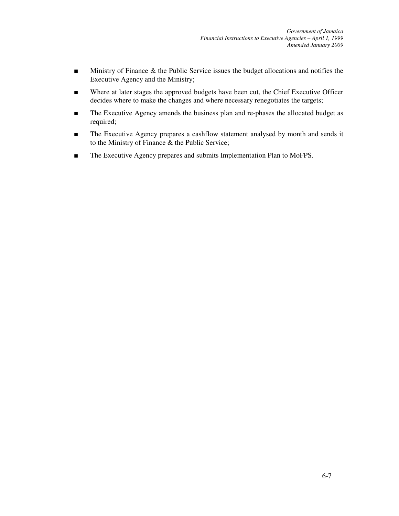- Ministry of Finance & the Public Service issues the budget allocations and notifies the Executive Agency and the Ministry;
- Where at later stages the approved budgets have been cut, the Chief Executive Officer decides where to make the changes and where necessary renegotiates the targets;
- The Executive Agency amends the business plan and re-phases the allocated budget as required;
- The Executive Agency prepares a cashflow statement analysed by month and sends it to the Ministry of Finance & the Public Service;
- The Executive Agency prepares and submits Implementation Plan to MoFPS.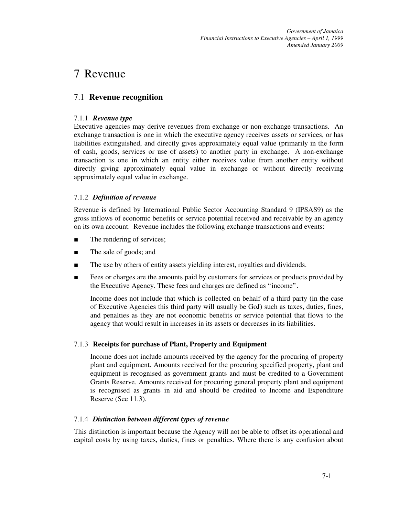*Government of Jamaica Financial Instructions to Executive Agencies – April 1, 1999 Amended January 2009*

# 7 Revenue

# 7.1 **Revenue recognition**

# 7.1.1 *Revenue type*

Executive agencies may derive revenues from exchange or non-exchange transactions. An exchange transaction is one in which the executive agency receives assets or services, or has liabilities extinguished, and directly gives approximately equal value (primarily in the form of cash, goods, services or use of assets) to another party in exchange. A non-exchange transaction is one in which an entity either receives value from another entity without directly giving approximately equal value in exchange or without directly receiving approximately equal value in exchange.

# 7.1.2 *Definition of revenue*

Revenue is defined by International Public Sector Accounting Standard 9 (IPSAS9) as the gross inflows of economic benefits or service potential received and receivable by an agency on its own account. Revenue includes the following exchange transactions and events:

- The rendering of services;
- The sale of goods; and
- The use by others of entity assets yielding interest, royalties and dividends.
- Fees or charges are the amounts paid by customers for services or products provided by the Executive Agency. These fees and charges are defined as "income".

Income does not include that which is collected on behalf of a third party (in the case of Executive Agencies this third party will usually be GoJ) such as taxes, duties, fines, and penalties as they are not economic benefits or service potential that flows to the agency that would result in increases in its assets or decreases in its liabilities.

# 7.1.3 **Receipts for purchase of Plant, Property and Equipment**

Income does not include amounts received by the agency for the procuring of property plant and equipment. Amounts received for the procuring specified property, plant and equipment is recognised as government grants and must be credited to a Government Grants Reserve. Amounts received for procuring general property plant and equipment is recognised as grants in aid and should be credited to Income and Expenditure Reserve (See 11.3).

# 7.1.4 *Distinction between different types of revenue*

This distinction is important because the Agency will not be able to offset its operational and capital costs by using taxes, duties, fines or penalties. Where there is any confusion about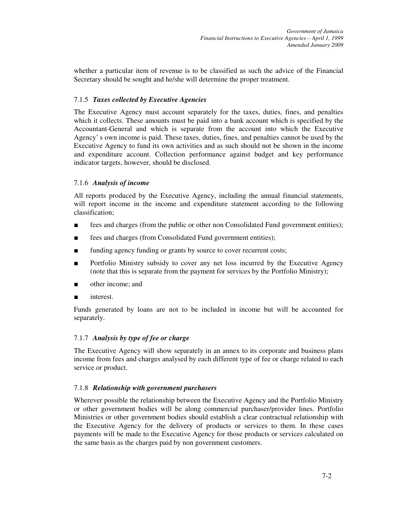whether a particular item of revenue is to be classified as such the advice of the Financial Secretary should be sought and he/she will determine the proper treatment.

# 7.1.5 *Taxes collected by Executive Agencies*

The Executive Agency must account separately for the taxes, duties, fines, and penalties which it collects. These amounts must be paid into a bank account which is specified by the Accountant-General and which is separate from the account into which the Executive Agency' s own income is paid. These taxes, duties, fines, and penalties cannot be used by the Executive Agency to fund its own activities and as such should not be shown in the income and expenditure account. Collection performance against budget and key performance indicator targets, however, should be disclosed.

# 7.1.6 *Analysis of income*

All reports produced by the Executive Agency, including the annual financial statements, will report income in the income and expenditure statement according to the following classification;

- fees and charges (from the public or other non Consolidated Fund government entities);
- fees and charges (from Consolidated Fund government entities);
- funding agency funding or grants by source to cover recurrent costs;
- Portfolio Ministry subsidy to cover any net loss incurred by the Executive Agency (note that this is separate from the payment for services by the Portfolio Ministry);
- other income; and
- interest.

Funds generated by loans are not to be included in income but will be accounted for separately.

# 7.1.7 *Analysis by type of fee or charge*

The Executive Agency will show separately in an annex to its corporate and business plans income from fees and charges analysed by each different type of fee or charge related to each service or product.

# 7.1.8 *Relationship with government purchasers*

Wherever possible the relationship between the Executive Agency and the Portfolio Ministry or other government bodies will be along commercial purchaser/provider lines. Portfolio Ministries or other government bodies should establish a clear contractual relationship with the Executive Agency for the delivery of products or services to them. In these cases payments will be made to the Executive Agency for those products or services calculated on the same basis as the charges paid by non government customers.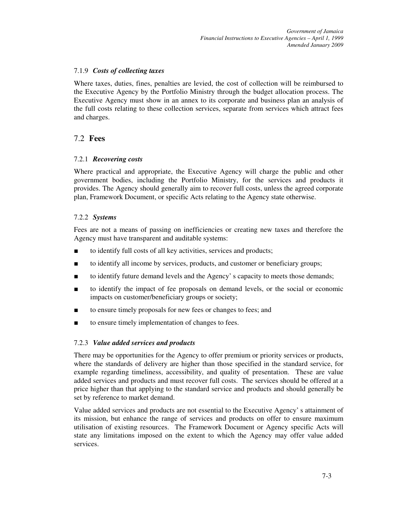# 7.1.9 *Costs of collecting taxes*

Where taxes, duties, fines, penalties are levied, the cost of collection will be reimbursed to the Executive Agency by the Portfolio Ministry through the budget allocation process. The Executive Agency must show in an annex to its corporate and business plan an analysis of the full costs relating to these collection services, separate from services which attract fees and charges.

# 7.2 **Fees**

# 7.2.1 *Recovering costs*

Where practical and appropriate, the Executive Agency will charge the public and other government bodies, including the Portfolio Ministry, for the services and products it provides. The Agency should generally aim to recover full costs, unless the agreed corporate plan, Framework Document, or specific Acts relating to the Agency state otherwise.

# 7.2.2 *Systems*

Fees are not a means of passing on inefficiencies or creating new taxes and therefore the Agency must have transparent and auditable systems:

- to identify full costs of all key activities, services and products;
- to identify all income by services, products, and customer or beneficiary groups;
- to identify future demand levels and the Agency' s capacity to meets those demands;
- to identify the impact of fee proposals on demand levels, or the social or economic impacts on customer/beneficiary groups or society;
- to ensure timely proposals for new fees or changes to fees; and
- to ensure timely implementation of changes to fees.

# 7.2.3 *Value added services and products*

There may be opportunities for the Agency to offer premium or priority services or products, where the standards of delivery are higher than those specified in the standard service, for example regarding timeliness, accessibility, and quality of presentation. These are value added services and products and must recover full costs. The services should be offered at a price higher than that applying to the standard service and products and should generally be set by reference to market demand.

Value added services and products are not essential to the Executive Agency' s attainment of its mission, but enhance the range of services and products on offer to ensure maximum utilisation of existing resources. The Framework Document or Agency specific Acts will state any limitations imposed on the extent to which the Agency may offer value added services.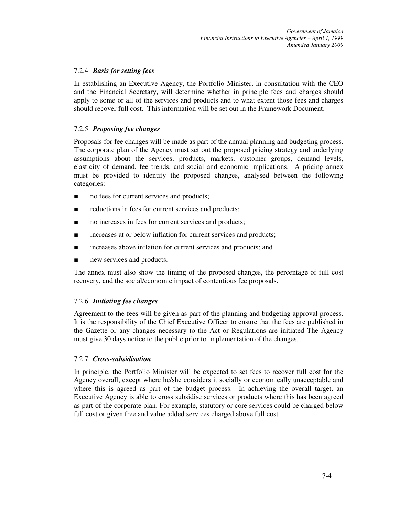# 7.2.4 *Basis for setting fees*

In establishing an Executive Agency, the Portfolio Minister, in consultation with the CEO and the Financial Secretary, will determine whether in principle fees and charges should apply to some or all of the services and products and to what extent those fees and charges should recover full cost. This information will be set out in the Framework Document.

# 7.2.5 *Proposing fee changes*

Proposals for fee changes will be made as part of the annual planning and budgeting process. The corporate plan of the Agency must set out the proposed pricing strategy and underlying assumptions about the services, products, markets, customer groups, demand levels, elasticity of demand, fee trends, and social and economic implications. A pricing annex must be provided to identify the proposed changes, analysed between the following categories:

- no fees for current services and products;
- reductions in fees for current services and products;
- no increases in fees for current services and products;
- increases at or below inflation for current services and products;
- increases above inflation for current services and products; and
- new services and products.

The annex must also show the timing of the proposed changes, the percentage of full cost recovery, and the social/economic impact of contentious fee proposals.

# 7.2.6 *Initiating fee changes*

Agreement to the fees will be given as part of the planning and budgeting approval process. It is the responsibility of the Chief Executive Officer to ensure that the fees are published in the Gazette or any changes necessary to the Act or Regulations are initiated The Agency must give 30 days notice to the public prior to implementation of the changes.

# 7.2.7 *Cross-subsidisation*

In principle, the Portfolio Minister will be expected to set fees to recover full cost for the Agency overall, except where he/she considers it socially or economically unacceptable and where this is agreed as part of the budget process. In achieving the overall target, an Executive Agency is able to cross subsidise services or products where this has been agreed as part of the corporate plan. For example, statutory or core services could be charged below full cost or given free and value added services charged above full cost.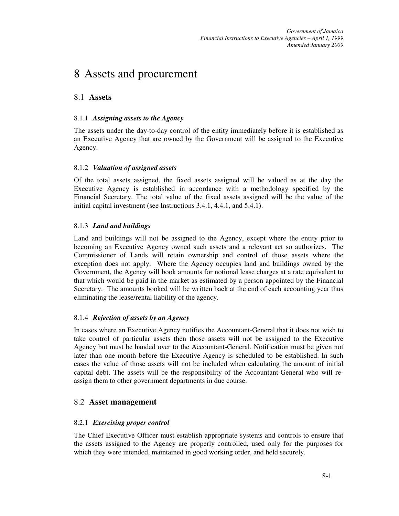# 8 Assets and procurement

# 8.1 **Assets**

# 8.1.1 *Assigning assets to the Agency*

The assets under the day-to-day control of the entity immediately before it is established as an Executive Agency that are owned by the Government will be assigned to the Executive Agency.

# 8.1.2 *Valuation of assigned assets*

Of the total assets assigned, the fixed assets assigned will be valued as at the day the Executive Agency is established in accordance with a methodology specified by the Financial Secretary. The total value of the fixed assets assigned will be the value of the initial capital investment (see Instructions 3.4.1, 4.4.1, and 5.4.1).

# 8.1.3 *Land and buildings*

Land and buildings will not be assigned to the Agency, except where the entity prior to becoming an Executive Agency owned such assets and a relevant act so authorizes. The Commissioner of Lands will retain ownership and control of those assets where the exception does not apply. Where the Agency occupies land and buildings owned by the Government, the Agency will book amounts for notional lease charges at a rate equivalent to that which would be paid in the market as estimated by a person appointed by the Financial Secretary. The amounts booked will be written back at the end of each accounting year thus eliminating the lease/rental liability of the agency.

# 8.1.4 *Rejection of assets by an Agency*

In cases where an Executive Agency notifies the Accountant-General that it does not wish to take control of particular assets then those assets will not be assigned to the Executive Agency but must be handed over to the Accountant-General. Notification must be given not later than one month before the Executive Agency is scheduled to be established. In such cases the value of those assets will not be included when calculating the amount of initial capital debt. The assets will be the responsibility of the Accountant-General who will reassign them to other government departments in due course.

# 8.2 **Asset management**

# 8.2.1 *Exercising proper control*

The Chief Executive Officer must establish appropriate systems and controls to ensure that the assets assigned to the Agency are properly controlled, used only for the purposes for which they were intended, maintained in good working order, and held securely.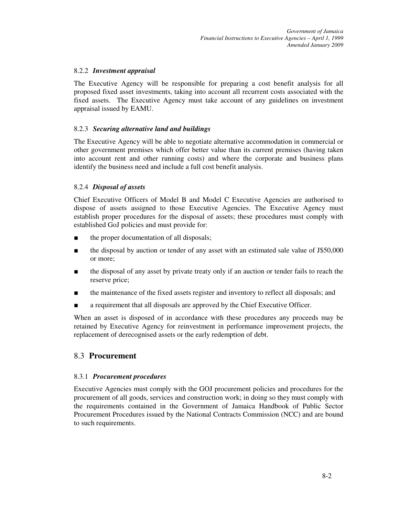# 8.2.2 *Investment appraisal*

The Executive Agency will be responsible for preparing a cost benefit analysis for all proposed fixed asset investments, taking into account all recurrent costs associated with the fixed assets. The Executive Agency must take account of any guidelines on investment appraisal issued by EAMU.

# 8.2.3 *Securing alternative land and buildings*

The Executive Agency will be able to negotiate alternative accommodation in commercial or other government premises which offer better value than its current premises (having taken into account rent and other running costs) and where the corporate and business plans identify the business need and include a full cost benefit analysis.

# 8.2.4 *Disposal of assets*

Chief Executive Officers of Model B and Model C Executive Agencies are authorised to dispose of assets assigned to those Executive Agencies. The Executive Agency must establish proper procedures for the disposal of assets; these procedures must comply with established GoJ policies and must provide for:

- the proper documentation of all disposals;
- the disposal by auction or tender of any asset with an estimated sale value of J\$50,000 or more;
- the disposal of any asset by private treaty only if an auction or tender fails to reach the reserve price;
- the maintenance of the fixed assets register and inventory to reflect all disposals; and
- a requirement that all disposals are approved by the Chief Executive Officer.

When an asset is disposed of in accordance with these procedures any proceeds may be retained by Executive Agency for reinvestment in performance improvement projects, the replacement of derecognised assets or the early redemption of debt.

# 8.3 **Procurement**

# 8.3.1 *Procurement procedures*

Executive Agencies must comply with the GOJ procurement policies and procedures for the procurement of all goods, services and construction work; in doing so they must comply with the requirements contained in the Government of Jamaica Handbook of Public Sector Procurement Procedures issued by the National Contracts Commission (NCC) and are bound to such requirements.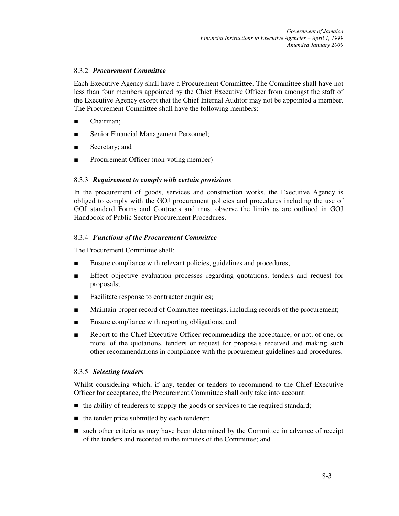# 8.3.2 *Procurement Committee*

Each Executive Agency shall have a Procurement Committee. The Committee shall have not less than four members appointed by the Chief Executive Officer from amongst the staff of the Executive Agency except that the Chief Internal Auditor may not be appointed a member. The Procurement Committee shall have the following members:

- Chairman:
- Senior Financial Management Personnel;
- Secretary; and
- Procurement Officer (non-voting member)

# 8.3.3 *Requirement to comply with certain provisions*

In the procurement of goods, services and construction works, the Executive Agency is obliged to comply with the GOJ procurement policies and procedures including the use of GOJ standard Forms and Contracts and must observe the limits as are outlined in GOJ Handbook of Public Sector Procurement Procedures.

# 8.3.4 *Functions of the Procurement Committee*

The Procurement Committee shall:

- Ensure compliance with relevant policies, guidelines and procedures;
- Effect objective evaluation processes regarding quotations, tenders and request for proposals;
- Facilitate response to contractor enquiries;
- Maintain proper record of Committee meetings, including records of the procurement;
- Ensure compliance with reporting obligations; and
- Report to the Chief Executive Officer recommending the acceptance, or not, of one, or more, of the quotations, tenders or request for proposals received and making such other recommendations in compliance with the procurement guidelines and procedures.

# 8.3.5 *Selecting tenders*

Whilst considering which, if any, tender or tenders to recommend to the Chief Executive Officer for acceptance, the Procurement Committee shall only take into account:

- $\blacksquare$  the ability of tenderers to supply the goods or services to the required standard;
- $\blacksquare$  the tender price submitted by each tenderer;
- such other criteria as may have been determined by the Committee in advance of receipt of the tenders and recorded in the minutes of the Committee; and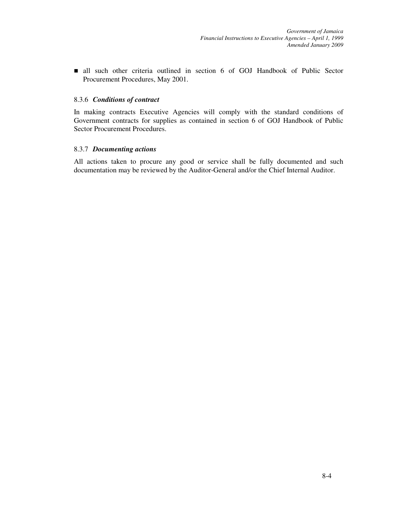all such other criteria outlined in section 6 of GOJ Handbook of Public Sector Procurement Procedures, May 2001.

#### 8.3.6 *Conditions of contract*

In making contracts Executive Agencies will comply with the standard conditions of Government contracts for supplies as contained in section 6 of GOJ Handbook of Public Sector Procurement Procedures.

#### 8.3.7 *Documenting actions*

All actions taken to procure any good or service shall be fully documented and such documentation may be reviewed by the Auditor-General and/or the Chief Internal Auditor.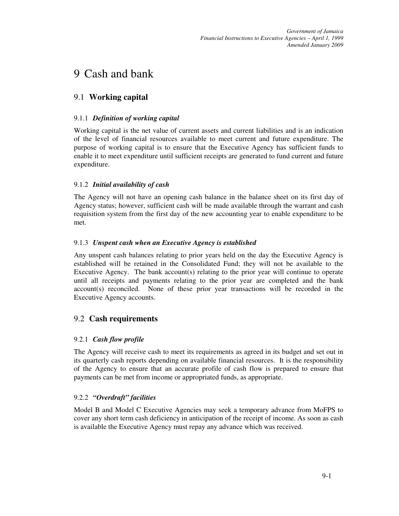# 9 Cash and bank

# 9.1 **Working capital**

# 9.1.1 *Definition of working capital*

Working capital is the net value of current assets and current liabilities and is an indication of the level of financial resources available to meet current and future expenditure. The purpose of working capital is to ensure that the Executive Agency has sufficient funds to enable it to meet expenditure until sufficient receipts are generated to fund current and future expenditure.

# 9.1.2 *Initial availability of cash*

The Agency will not have an opening cash balance in the balance sheet on its first day of Agency status; however, sufficient cash will be made available through the warrant and cash requisition system from the first day of the new accounting year to enable expenditure to be met.

# 9.1.3 *Unspent cash when an Executive Agency is established*

Any unspent cash balances relating to prior years held on the day the Executive Agency is established will be retained in the Consolidated Fund; they will not be available to the Executive Agency. The bank account(s) relating to the prior year will continue to operate until all receipts and payments relating to the prior year are completed and the bank account(s) reconciled. None of these prior year transactions will be recorded in the Executive Agency accounts.

# 9.2 **Cash requirements**

# 9.2.1 *Cash flow profile*

The Agency will receive cash to meet its requirements as agreed in its budget and set out in its quarterly cash reports depending on available financial resources. It is the responsibility of the Agency to ensure that an accurate profile of cash flow is prepared to ensure that payments can be met from income or appropriated funds, as appropriate.

# 9.2.2 *"Overdraft" facilities*

Model B and Model C Executive Agencies may seek a temporary advance from MoFPS to cover any short term cash deficiency in anticipation of the receipt of income. As soon as cash is available the Executive Agency must repay any advance which was received.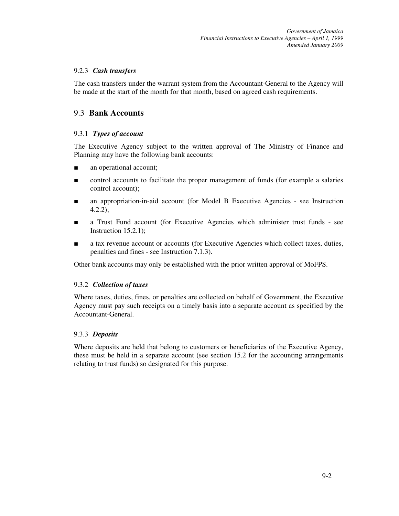# 9.2.3 *Cash transfers*

The cash transfers under the warrant system from the Accountant-General to the Agency will be made at the start of the month for that month, based on agreed cash requirements.

# 9.3 **Bank Accounts**

# 9.3.1 *Types of account*

The Executive Agency subject to the written approval of The Ministry of Finance and Planning may have the following bank accounts:

- an operational account;
- control accounts to facilitate the proper management of funds (for example a salaries control account);
- an appropriation-in-aid account (for Model B Executive Agencies see Instruction 4.2.2);
- a Trust Fund account (for Executive Agencies which administer trust funds see Instruction 15.2.1);
- a tax revenue account or accounts (for Executive Agencies which collect taxes, duties, penalties and fines - see Instruction 7.1.3).

Other bank accounts may only be established with the prior written approval of MoFPS.

# 9.3.2 *Collection of taxes*

Where taxes, duties, fines, or penalties are collected on behalf of Government, the Executive Agency must pay such receipts on a timely basis into a separate account as specified by the Accountant-General.

# 9.3.3 *Deposits*

Where deposits are held that belong to customers or beneficiaries of the Executive Agency, these must be held in a separate account (see section 15.2 for the accounting arrangements relating to trust funds) so designated for this purpose.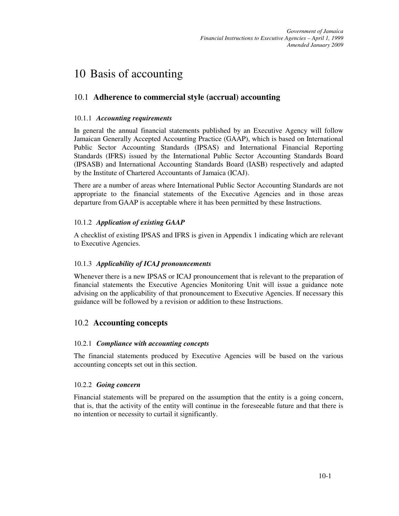# 10 Basis of accounting

# 10.1 **Adherence to commercial style (accrual) accounting**

# 10.1.1 *Accounting requirements*

In general the annual financial statements published by an Executive Agency will follow Jamaican Generally Accepted Accounting Practice (GAAP), which is based on International Public Sector Accounting Standards (IPSAS) and International Financial Reporting Standards (IFRS) issued by the International Public Sector Accounting Standards Board (IPSASB) and International Accounting Standards Board (IASB) respectively and adapted by the Institute of Chartered Accountants of Jamaica (ICAJ).

There are a number of areas where International Public Sector Accounting Standards are not appropriate to the financial statements of the Executive Agencies and in those areas departure from GAAP is acceptable where it has been permitted by these Instructions.

# 10.1.2 *Application of existing GAAP*

A checklist of existing IPSAS and IFRS is given in Appendix 1 indicating which are relevant to Executive Agencies.

# 10.1.3 *Applicability of ICAJ pronouncements*

Whenever there is a new IPSAS or ICAJ pronouncement that is relevant to the preparation of financial statements the Executive Agencies Monitoring Unit will issue a guidance note advising on the applicability of that pronouncement to Executive Agencies. If necessary this guidance will be followed by a revision or addition to these Instructions.

# 10.2 **Accounting concepts**

# 10.2.1 *Compliance with accounting concepts*

The financial statements produced by Executive Agencies will be based on the various accounting concepts set out in this section.

# 10.2.2 *Going concern*

Financial statements will be prepared on the assumption that the entity is a going concern, that is, that the activity of the entity will continue in the foreseeable future and that there is no intention or necessity to curtail it significantly.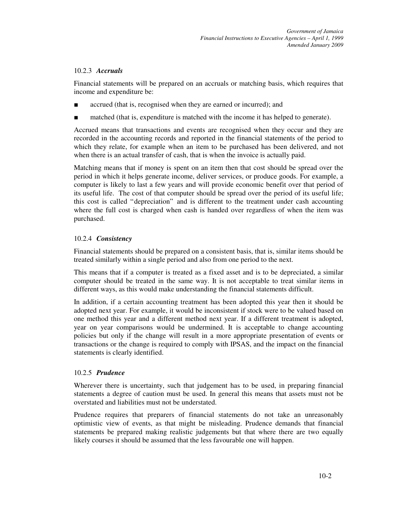# 10.2.3 *Accruals*

Financial statements will be prepared on an accruals or matching basis, which requires that income and expenditure be:

- accrued (that is, recognised when they are earned or incurred); and
- matched (that is, expenditure is matched with the income it has helped to generate).

Accrued means that transactions and events are recognised when they occur and they are recorded in the accounting records and reported in the financial statements of the period to which they relate, for example when an item to be purchased has been delivered, and not when there is an actual transfer of cash, that is when the invoice is actually paid.

Matching means that if money is spent on an item then that cost should be spread over the period in which it helps generate income, deliver services, or produce goods. For example, a computer is likely to last a few years and will provide economic benefit over that period of its useful life. The cost of that computer should be spread over the period of its useful life; this cost is called "depreciation" and is different to the treatment under cash accounting where the full cost is charged when cash is handed over regardless of when the item was purchased.

# 10.2.4 *Consistency*

Financial statements should be prepared on a consistent basis, that is, similar items should be treated similarly within a single period and also from one period to the next.

This means that if a computer is treated as a fixed asset and is to be depreciated, a similar computer should be treated in the same way. It is not acceptable to treat similar items in different ways, as this would make understanding the financial statements difficult.

In addition, if a certain accounting treatment has been adopted this year then it should be adopted next year. For example, it would be inconsistent if stock were to be valued based on one method this year and a different method next year. If a different treatment is adopted, year on year comparisons would be undermined. It is acceptable to change accounting policies but only if the change will result in a more appropriate presentation of events or transactions or the change is required to comply with IPSAS, and the impact on the financial statements is clearly identified.

# 10.2.5 *Prudence*

Wherever there is uncertainty, such that judgement has to be used, in preparing financial statements a degree of caution must be used. In general this means that assets must not be overstated and liabilities must not be understated.

Prudence requires that preparers of financial statements do not take an unreasonably optimistic view of events, as that might be misleading. Prudence demands that financial statements be prepared making realistic judgements but that where there are two equally likely courses it should be assumed that the less favourable one will happen.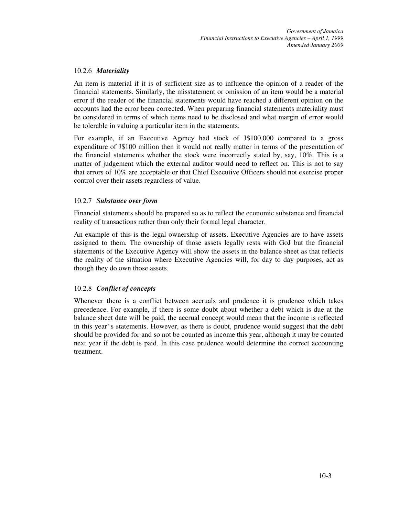# 10.2.6 *Materiality*

An item is material if it is of sufficient size as to influence the opinion of a reader of the financial statements. Similarly, the misstatement or omission of an item would be a material error if the reader of the financial statements would have reached a different opinion on the accounts had the error been corrected. When preparing financial statements materiality must be considered in terms of which items need to be disclosed and what margin of error would be tolerable in valuing a particular item in the statements.

For example, if an Executive Agency had stock of J\$100,000 compared to a gross expenditure of J\$100 million then it would not really matter in terms of the presentation of the financial statements whether the stock were incorrectly stated by, say, 10%. This is a matter of judgement which the external auditor would need to reflect on. This is not to say that errors of 10% are acceptable or that Chief Executive Officers should not exercise proper control over their assets regardless of value.

# 10.2.7 *Substance over form*

Financial statements should be prepared so as to reflect the economic substance and financial reality of transactions rather than only their formal legal character.

An example of this is the legal ownership of assets. Executive Agencies are to have assets assigned to them. The ownership of those assets legally rests with GoJ but the financial statements of the Executive Agency will show the assets in the balance sheet as that reflects the reality of the situation where Executive Agencies will, for day to day purposes, act as though they do own those assets.

# 10.2.8 *Conflict of concepts*

Whenever there is a conflict between accruals and prudence it is prudence which takes precedence. For example, if there is some doubt about whether a debt which is due at the balance sheet date will be paid, the accrual concept would mean that the income is reflected in this year' s statements. However, as there is doubt, prudence would suggest that the debt should be provided for and so not be counted as income this year, although it may be counted next year if the debt is paid. In this case prudence would determine the correct accounting treatment.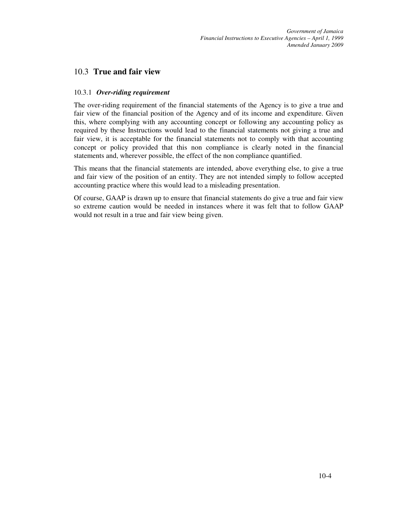# 10.3 **True and fair view**

# 10.3.1 *Over-riding requirement*

The over-riding requirement of the financial statements of the Agency is to give a true and fair view of the financial position of the Agency and of its income and expenditure. Given this, where complying with any accounting concept or following any accounting policy as required by these Instructions would lead to the financial statements not giving a true and fair view, it is acceptable for the financial statements not to comply with that accounting concept or policy provided that this non compliance is clearly noted in the financial statements and, wherever possible, the effect of the non compliance quantified.

This means that the financial statements are intended, above everything else, to give a true and fair view of the position of an entity. They are not intended simply to follow accepted accounting practice where this would lead to a misleading presentation.

Of course, GAAP is drawn up to ensure that financial statements do give a true and fair view so extreme caution would be needed in instances where it was felt that to follow GAAP would not result in a true and fair view being given.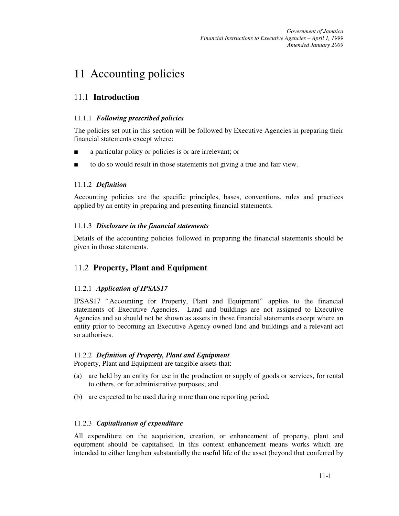# 11 Accounting policies

# 11.1 **Introduction**

# 11.1.1 *Following prescribed policies*

The policies set out in this section will be followed by Executive Agencies in preparing their financial statements except where:

- a particular policy or policies is or are irrelevant; or
- to do so would result in those statements not giving a true and fair view.

# 11.1.2 *Definition*

Accounting policies are the specific principles, bases, conventions, rules and practices applied by an entity in preparing and presenting financial statements.

# 11.1.3 *Disclosure in the financial statements*

Details of the accounting policies followed in preparing the financial statements should be given in those statements.

# 11.2 **Property, Plant and Equipment**

# 11.2.1 *Application of IPSAS17*

IPSAS17 "Accounting for Property, Plant and Equipment" applies to the financial statements of Executive Agencies. Land and buildings are not assigned to Executive Agencies and so should not be shown as assets in those financial statements except where an entity prior to becoming an Executive Agency owned land and buildings and a relevant act so authorises.

# 11.2.2 *Definition of Property, Plant and Equipment*

Property, Plant and Equipment are tangible assets that:

- (a) are held by an entity for use in the production or supply of goods or services, for rental to others, or for administrative purposes; and
- (b) are expected to be used during more than one reporting period*.*

# 11.2.3 *Capitalisation of expenditure*

All expenditure on the acquisition, creation, or enhancement of property, plant and equipment should be capitalised. In this context enhancement means works which are intended to either lengthen substantially the useful life of the asset (beyond that conferred by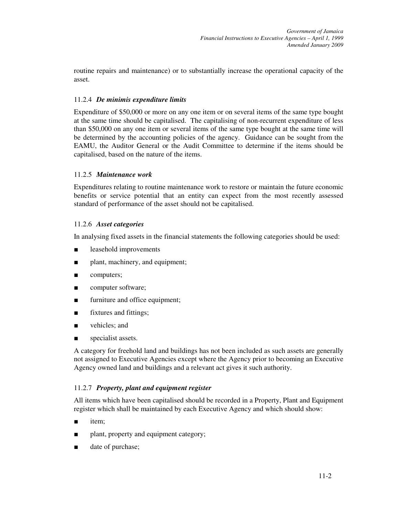routine repairs and maintenance) or to substantially increase the operational capacity of the asset.

# 11.2.4 *De minimis expenditure limits*

Expenditure of \$50,000 or more on any one item or on several items of the same type bought at the same time should be capitalised. The capitalising of non-recurrent expenditure of less than \$50,000 on any one item or several items of the same type bought at the same time will be determined by the accounting policies of the agency. Guidance can be sought from the EAMU, the Auditor General or the Audit Committee to determine if the items should be capitalised, based on the nature of the items.

# 11.2.5 *Maintenance work*

Expenditures relating to routine maintenance work to restore or maintain the future economic benefits or service potential that an entity can expect from the most recently assessed standard of performance of the asset should not be capitalised.

# 11.2.6 *Asset categories*

In analysing fixed assets in the financial statements the following categories should be used:

- leasehold improvements
- plant, machinery, and equipment;
- computers;
- computer software;
- furniture and office equipment;
- fixtures and fittings;
- vehicles; and
- specialist assets.

A category for freehold land and buildings has not been included as such assets are generally not assigned to Executive Agencies except where the Agency prior to becoming an Executive Agency owned land and buildings and a relevant act gives it such authority.

# 11.2.7 *Property, plant and equipment register*

All items which have been capitalised should be recorded in a Property, Plant and Equipment register which shall be maintained by each Executive Agency and which should show:

- item:
- plant, property and equipment category;
- date of purchase;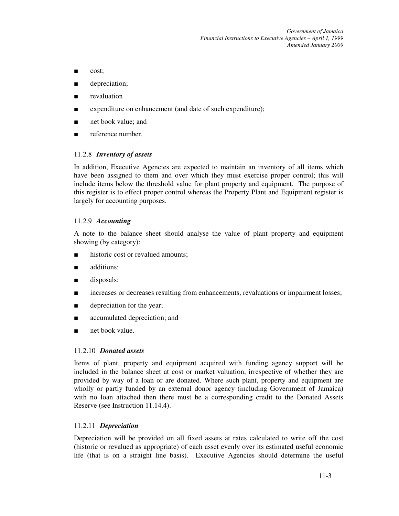*Government of Jamaica Financial Instructions to Executive Agencies – April 1, 1999 Amended January 2009*

- cost;
- depreciation;
- revaluation
- expenditure on enhancement (and date of such expenditure);
- net book value; and
- reference number.

#### 11.2.8 *Inventory of assets*

In addition, Executive Agencies are expected to maintain an inventory of all items which have been assigned to them and over which they must exercise proper control; this will include items below the threshold value for plant property and equipment. The purpose of this register is to effect proper control whereas the Property Plant and Equipment register is largely for accounting purposes.

#### 11.2.9 *Accounting*

A note to the balance sheet should analyse the value of plant property and equipment showing (by category):

- historic cost or revalued amounts;
- additions;
- disposals;
- increases or decreases resulting from enhancements, revaluations or impairment losses;
- depreciation for the year;
- accumulated depreciation; and
- net book value.

#### 11.2.10 *Donated assets*

Items of plant, property and equipment acquired with funding agency support will be included in the balance sheet at cost or market valuation, irrespective of whether they are provided by way of a loan or are donated. Where such plant, property and equipment are wholly or partly funded by an external donor agency (including Government of Jamaica) with no loan attached then there must be a corresponding credit to the Donated Assets Reserve (see Instruction 11.14.4).

#### 11.2.11 *Depreciation*

Depreciation will be provided on all fixed assets at rates calculated to write off the cost (historic or revalued as appropriate) of each asset evenly over its estimated useful economic life (that is on a straight line basis). Executive Agencies should determine the useful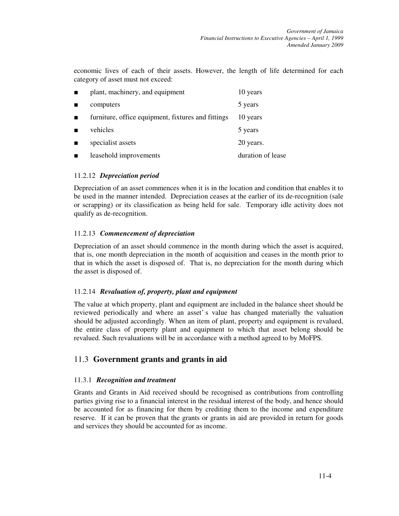economic lives of each of their assets. However, the length of life determined for each category of asset must not exceed:

| $\blacksquare$ | plant, machinery, and equipment                    | 10 years          |
|----------------|----------------------------------------------------|-------------------|
|                | computers                                          | 5 years           |
| п              | furniture, office equipment, fixtures and fittings | 10 years          |
|                | vehicles                                           | 5 years           |
|                | specialist assets                                  | 20 years.         |
|                | leasehold improvements                             | duration of lease |

# 11.2.12 *Depreciation period*

Depreciation of an asset commences when it is in the location and condition that enables it to be used in the manner intended. Depreciation ceases at the earlier of its de-recognition (sale or scrapping) or its classification as being held for sale. Temporary idle activity does not qualify as de-recognition.

#### 11.2.13 *Commencement of depreciation*

Depreciation of an asset should commence in the month during which the asset is acquired, that is, one month depreciation in the month of acquisition and ceases in the month prior to that in which the asset is disposed of. That is, no depreciation for the month during which the asset is disposed of.

#### 11.2.14 *Revaluation of, property, plant and equipment*

The value at which property, plant and equipment are included in the balance sheet should be reviewed periodically and where an asset' s value has changed materially the valuation should be adjusted accordingly. When an item of plant, property and equipment is revalued, the entire class of property plant and equipment to which that asset belong should be revalued. Such revaluations will be in accordance with a method agreed to by MoFPS.

# 11.3 **Government grants and grants in aid**

# 11.3.1 *Recognition and treatment*

Grants and Grants in Aid received should be recognised as contributions from controlling parties giving rise to a financial interest in the residual interest of the body, and hence should be accounted for as financing for them by crediting them to the income and expenditure reserve. If it can be proven that the grants or grants in aid are provided in return for goods and services they should be accounted for as income.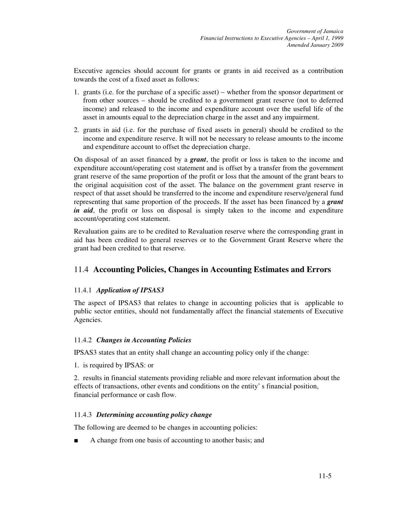Executive agencies should account for grants or grants in aid received as a contribution towards the cost of a fixed asset as follows:

- 1. grants (i.e. for the purchase of a specific asset) whether from the sponsor department or from other sources – should be credited to a government grant reserve (not to deferred income) and released to the income and expenditure account over the useful life of the asset in amounts equal to the depreciation charge in the asset and any impairment.
- 2. grants in aid (i.e. for the purchase of fixed assets in general) should be credited to the income and expenditure reserve. It will not be necessary to release amounts to the income and expenditure account to offset the depreciation charge.

On disposal of an asset financed by a *grant*, the profit or loss is taken to the income and expenditure account/operating cost statement and is offset by a transfer from the government grant reserve of the same proportion of the profit or loss that the amount of the grant bears to the original acquisition cost of the asset. The balance on the government grant reserve in respect of that asset should be transferred to the income and expenditure reserve/general fund representing that same proportion of the proceeds. If the asset has been financed by a *grant in aid*, the profit or loss on disposal is simply taken to the income and expenditure account/operating cost statement.

Revaluation gains are to be credited to Revaluation reserve where the corresponding grant in aid has been credited to general reserves or to the Government Grant Reserve where the grant had been credited to that reserve.

# 11.4 **Accounting Policies, Changes in Accounting Estimates and Errors**

# 11.4.1 *Application of IPSAS3*

The aspect of IPSAS3 that relates to change in accounting policies that is applicable to public sector entities, should not fundamentally affect the financial statements of Executive Agencies.

# 11.4.2 *Changes in Accounting Policies*

IPSAS3 states that an entity shall change an accounting policy only if the change:

1. is required by IPSAS: or

2. results in financial statements providing reliable and more relevant information about the effects of transactions, other events and conditions on the entity' s financial position, financial performance or cash flow.

# 11.4.3 *Determining accounting policy change*

The following are deemed to be changes in accounting policies:

■ A change from one basis of accounting to another basis; and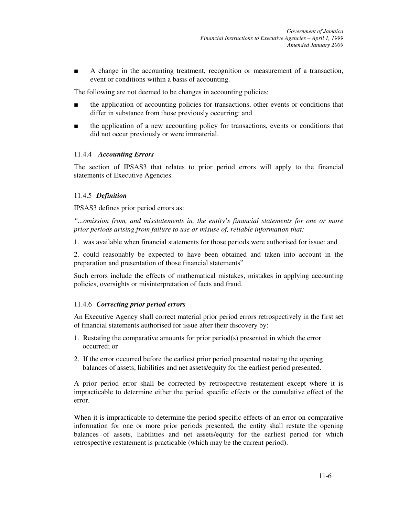■ A change in the accounting treatment, recognition or measurement of a transaction, event or conditions within a basis of accounting.

The following are not deemed to be changes in accounting policies:

- the application of accounting policies for transactions, other events or conditions that differ in substance from those previously occurring: and
- the application of a new accounting policy for transactions, events or conditions that did not occur previously or were immaterial.

#### 11.4.4 *Accounting Errors*

The section of IPSAS3 that relates to prior period errors will apply to the financial statements of Executive Agencies.

#### 11.4.5 *Definition*

IPSAS3 defines prior period errors as:

*"...omission from, and misstatements in, the entity's financial statements for one or more prior periods arising from failure to use or misuse of, reliable information that:* 

1. was available when financial statements for those periods were authorised for issue: and

2. could reasonably be expected to have been obtained and taken into account in the preparation and presentation of those financial statements"

Such errors include the effects of mathematical mistakes, mistakes in applying accounting policies, oversights or misinterpretation of facts and fraud.

# 11.4.6 *Correcting prior period errors*

An Executive Agency shall correct material prior period errors retrospectively in the first set of financial statements authorised for issue after their discovery by:

- 1. Restating the comparative amounts for prior period(s) presented in which the error occurred; or
- 2. If the error occurred before the earliest prior period presented restating the opening balances of assets, liabilities and net assets/equity for the earliest period presented.

A prior period error shall be corrected by retrospective restatement except where it is impracticable to determine either the period specific effects or the cumulative effect of the error.

When it is impracticable to determine the period specific effects of an error on comparative information for one or more prior periods presented, the entity shall restate the opening balances of assets, liabilities and net assets/equity for the earliest period for which retrospective restatement is practicable (which may be the current period).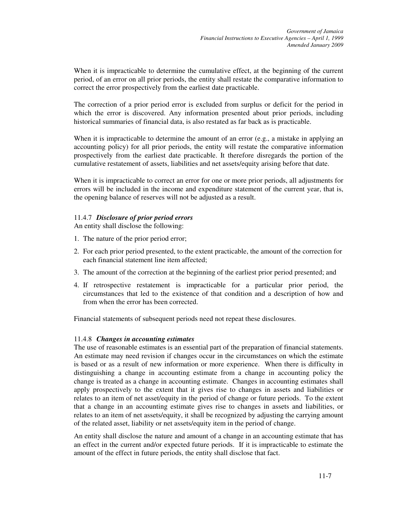When it is impracticable to determine the cumulative effect, at the beginning of the current period, of an error on all prior periods, the entity shall restate the comparative information to correct the error prospectively from the earliest date practicable.

The correction of a prior period error is excluded from surplus or deficit for the period in which the error is discovered. Any information presented about prior periods, including historical summaries of financial data, is also restated as far back as is practicable.

When it is impracticable to determine the amount of an error (e.g., a mistake in applying an accounting policy) for all prior periods, the entity will restate the comparative information prospectively from the earliest date practicable. It therefore disregards the portion of the cumulative restatement of assets, liabilities and net assets/equity arising before that date.

When it is impracticable to correct an error for one or more prior periods, all adjustments for errors will be included in the income and expenditure statement of the current year, that is, the opening balance of reserves will not be adjusted as a result.

# 11.4.7 *Disclosure of prior period errors*

An entity shall disclose the following:

- 1. The nature of the prior period error;
- 2. For each prior period presented, to the extent practicable, the amount of the correction for each financial statement line item affected;
- 3. The amount of the correction at the beginning of the earliest prior period presented; and
- 4. If retrospective restatement is impracticable for a particular prior period, the circumstances that led to the existence of that condition and a description of how and from when the error has been corrected.

Financial statements of subsequent periods need not repeat these disclosures.

# 11.4.8 *Changes in accounting estimates*

The use of reasonable estimates is an essential part of the preparation of financial statements. An estimate may need revision if changes occur in the circumstances on which the estimate is based or as a result of new information or more experience. When there is difficulty in distinguishing a change in accounting estimate from a change in accounting policy the change is treated as a change in accounting estimate. Changes in accounting estimates shall apply prospectively to the extent that it gives rise to changes in assets and liabilities or relates to an item of net asset/equity in the period of change or future periods. To the extent that a change in an accounting estimate gives rise to changes in assets and liabilities, or relates to an item of net assets/equity, it shall be recognized by adjusting the carrying amount of the related asset, liability or net assets/equity item in the period of change.

An entity shall disclose the nature and amount of a change in an accounting estimate that has an effect in the current and/or expected future periods. If it is impracticable to estimate the amount of the effect in future periods, the entity shall disclose that fact.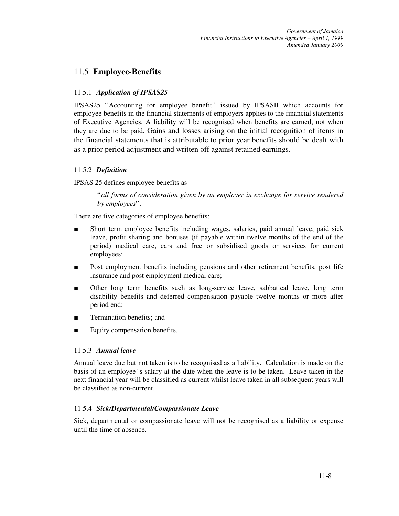# 11.5 **Employee-Benefits**

# 11.5.1 *Application of IPSAS25*

IPSAS25 "Accounting for employee benefit" issued by IPSASB which accounts for employee benefits in the financial statements of employers applies to the financial statements of Executive Agencies. A liability will be recognised when benefits are earned, not when they are due to be paid. Gains and losses arising on the initial recognition of items in the financial statements that is attributable to prior year benefits should be dealt with as a prior period adjustment and written off against retained earnings.

# 11.5.2 *Definition*

IPSAS 25 defines employee benefits as

"*all forms of consideration given by an employer in exchange for service rendered by employees*".

There are five categories of employee benefits:

- Short term employee benefits including wages, salaries, paid annual leave, paid sick leave, profit sharing and bonuses (if payable within twelve months of the end of the period) medical care, cars and free or subsidised goods or services for current employees;
- Post employment benefits including pensions and other retirement benefits, post life insurance and post employment medical care;
- Other long term benefits such as long-service leave, sabbatical leave, long term disability benefits and deferred compensation payable twelve months or more after period end;
- Termination benefits; and
- Equity compensation benefits.

# 11.5.3 *Annual leave*

Annual leave due but not taken is to be recognised as a liability. Calculation is made on the basis of an employee' s salary at the date when the leave is to be taken. Leave taken in the next financial year will be classified as current whilst leave taken in all subsequent years will be classified as non-current.

# 11.5.4 *Sick/Departmental/Compassionate Leave*

Sick, departmental or compassionate leave will not be recognised as a liability or expense until the time of absence.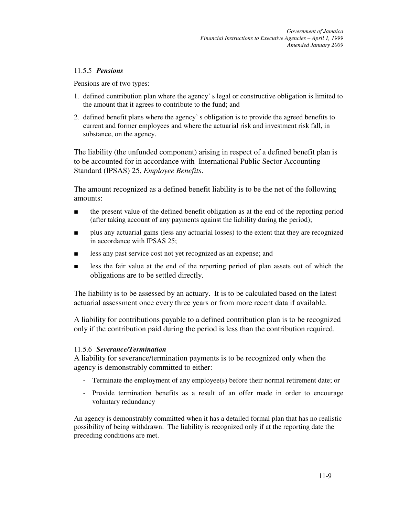# 11.5.5 *Pensions*

Pensions are of two types:

- 1. defined contribution plan where the agency' s legal or constructive obligation is limited to the amount that it agrees to contribute to the fund; and
- 2. defined benefit plans where the agency' s obligation is to provide the agreed benefits to current and former employees and where the actuarial risk and investment risk fall, in substance, on the agency.

The liability (the unfunded component) arising in respect of a defined benefit plan is to be accounted for in accordance with International Public Sector Accounting Standard (IPSAS) 25, *Employee Benefits*.

The amount recognized as a defined benefit liability is to be the net of the following amounts:

- the present value of the defined benefit obligation as at the end of the reporting period (after taking account of any payments against the liability during the period);
- plus any actuarial gains (less any actuarial losses) to the extent that they are recognized in accordance with IPSAS 25;
- less any past service cost not yet recognized as an expense; and
- less the fair value at the end of the reporting period of plan assets out of which the obligations are to be settled directly.

The liability is to be assessed by an actuary. It is to be calculated based on the latest actuarial assessment once every three years or from more recent data if available.

A liability for contributions payable to a defined contribution plan is to be recognized only if the contribution paid during the period is less than the contribution required.

# 11.5.6 *Severance/Termination*

A liability for severance/termination payments is to be recognized only when the agency is demonstrably committed to either:

- Terminate the employment of any employee(s) before their normal retirement date; or
- Provide termination benefits as a result of an offer made in order to encourage voluntary redundancy

An agency is demonstrably committed when it has a detailed formal plan that has no realistic possibility of being withdrawn. The liability is recognized only if at the reporting date the preceding conditions are met.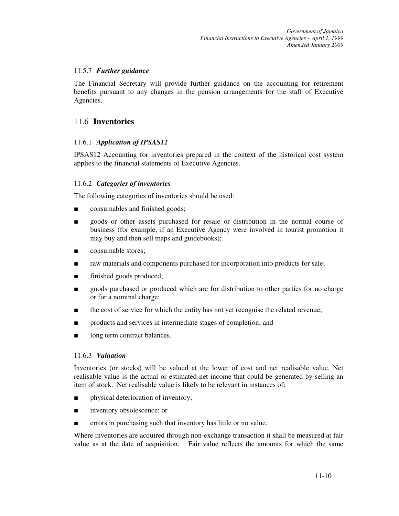# 11.5.7 *Further guidance*

The Financial Secretary will provide further guidance on the accounting for retirement benefits pursuant to any changes in the pension arrangements for the staff of Executive Agencies.

# 11.6 **Inventories**

# 11.6.1 *Application of IPSAS12*

IPSAS12 Accounting for inventories prepared in the context of the historical cost system applies to the financial statements of Executive Agencies.

# 11.6.2 *Categories of inventories*

The following categories of inventories should be used:

- consumables and finished goods;
- goods or other assets purchased for resale or distribution in the normal course of business (for example, if an Executive Agency were involved in tourist promotion it may buy and then sell maps and guidebooks);
- consumable stores;
- raw materials and components purchased for incorporation into products for sale;
- finished goods produced;
- goods purchased or produced which are for distribution to other parties for no charge or for a nominal charge;
- the cost of service for which the entity has not yet recognise the related revenue;
- products and services in intermediate stages of completion; and
- long term contract balances.

# 11.6.3 *Valuation*

Inventories (or stocks) will be valued at the lower of cost and net realisable value. Net realisable value is the actual or estimated net income that could be generated by selling an item of stock. Net realisable value is likely to be relevant in instances of:

- physical deterioration of inventory;
- inventory obsolescence; or
- errors in purchasing such that inventory has little or no value.

Where inventories are acquired through non-exchange transaction it shall be measured at fair value as at the date of acquisition. Fair value reflects the amounts for which the same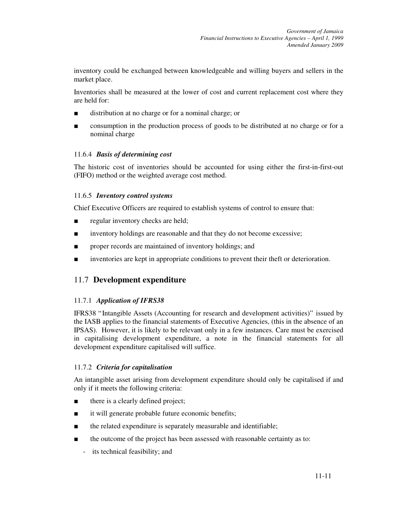inventory could be exchanged between knowledgeable and willing buyers and sellers in the market place.

Inventories shall be measured at the lower of cost and current replacement cost where they are held for:

- distribution at no charge or for a nominal charge; or
- consumption in the production process of goods to be distributed at no charge or for a nominal charge

# 11.6.4 *Basis of determining cost*

The historic cost of inventories should be accounted for using either the first-in-first-out (FIFO) method or the weighted average cost method.

# 11.6.5 *Inventory control systems*

Chief Executive Officers are required to establish systems of control to ensure that:

- regular inventory checks are held;
- inventory holdings are reasonable and that they do not become excessive;
- proper records are maintained of inventory holdings; and
- inventories are kept in appropriate conditions to prevent their theft or deterioration.

# 11.7 **Development expenditure**

# 11.7.1 *Application of IFRS38*

IFRS38 "Intangible Assets (Accounting for research and development activities)" issued by the IASB applies to the financial statements of Executive Agencies, (this in the absence of an IPSAS). However, it is likely to be relevant only in a few instances. Care must be exercised in capitalising development expenditure, a note in the financial statements for all development expenditure capitalised will suffice.

# 11.7.2 *Criteria for capitalisation*

An intangible asset arising from development expenditure should only be capitalised if and only if it meets the following criteria:

- there is a clearly defined project;
- it will generate probable future economic benefits;
- the related expenditure is separately measurable and identifiable;
- the outcome of the project has been assessed with reasonable certainty as to:
	- its technical feasibility; and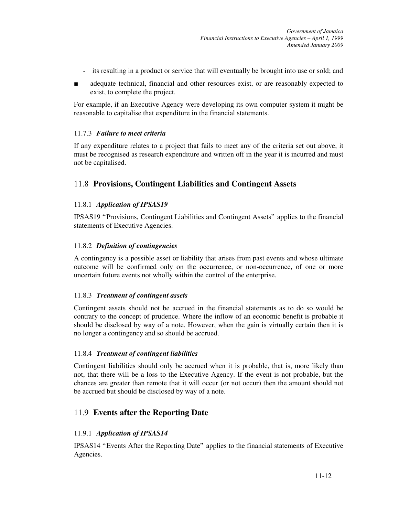- its resulting in a product or service that will eventually be brought into use or sold; and
- adequate technical, financial and other resources exist, or are reasonably expected to exist, to complete the project.

For example, if an Executive Agency were developing its own computer system it might be reasonable to capitalise that expenditure in the financial statements.

# 11.7.3 *Failure to meet criteria*

If any expenditure relates to a project that fails to meet any of the criteria set out above, it must be recognised as research expenditure and written off in the year it is incurred and must not be capitalised.

# 11.8 **Provisions, Contingent Liabilities and Contingent Assets**

# 11.8.1 *Application of IPSAS19*

IPSAS19 "Provisions, Contingent Liabilities and Contingent Assets" applies to the financial statements of Executive Agencies.

# 11.8.2 *Definition of contingencies*

A contingency is a possible asset or liability that arises from past events and whose ultimate outcome will be confirmed only on the occurrence, or non-occurrence, of one or more uncertain future events not wholly within the control of the enterprise.

#### 11.8.3 *Treatment of contingent assets*

Contingent assets should not be accrued in the financial statements as to do so would be contrary to the concept of prudence. Where the inflow of an economic benefit is probable it should be disclosed by way of a note. However, when the gain is virtually certain then it is no longer a contingency and so should be accrued.

# 11.8.4 *Treatment of contingent liabilities*

Contingent liabilities should only be accrued when it is probable, that is, more likely than not, that there will be a loss to the Executive Agency. If the event is not probable, but the chances are greater than remote that it will occur (or not occur) then the amount should not be accrued but should be disclosed by way of a note.

# 11.9 **Events after the Reporting Date**

# 11.9.1 *Application of IPSAS14*

IPSAS14 "Events After the Reporting Date" applies to the financial statements of Executive Agencies.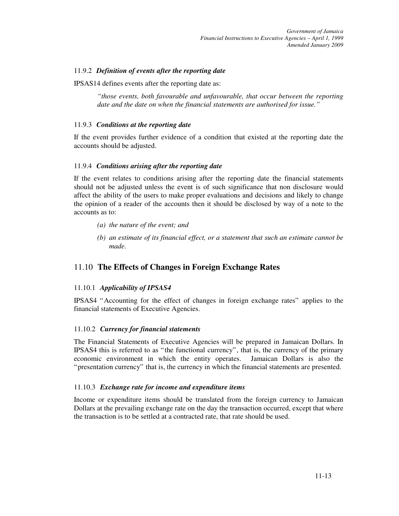# 11.9.2 *Definition of events after the reporting date*

IPSAS14 defines events after the reporting date as:

*"those events, both favourable and unfavourable, that occur between the reporting date and the date on when the financial statements are authorised for issue."* 

# 11.9.3 *Conditions at the reporting date*

If the event provides further evidence of a condition that existed at the reporting date the accounts should be adjusted.

# 11.9.4 *Conditions arising after the reporting date*

If the event relates to conditions arising after the reporting date the financial statements should not be adjusted unless the event is of such significance that non disclosure would affect the ability of the users to make proper evaluations and decisions and likely to change the opinion of a reader of the accounts then it should be disclosed by way of a note to the accounts as to:

- *(a) the nature of the event; and*
- *(b) an estimate of its financial effect, or a statement that such an estimate cannot be made.*

# 11.10 **The Effects of Changes in Foreign Exchange Rates**

# 11.10.1 *Applicability of IPSAS4*

IPSAS4 "Accounting for the effect of changes in foreign exchange rates" applies to the financial statements of Executive Agencies.

# 11.10.2 *Currency for financial statements*

The Financial Statements of Executive Agencies will be prepared in Jamaican Dollars. In IPSAS4 this is referred to as "the functional currency", that is, the currency of the primary economic environment in which the entity operates. Jamaican Dollars is also the "presentation currency" that is, the currency in which the financial statements are presented.

# 11.10.3 *Exchange rate for income and expenditure items*

Income or expenditure items should be translated from the foreign currency to Jamaican Dollars at the prevailing exchange rate on the day the transaction occurred, except that where the transaction is to be settled at a contracted rate, that rate should be used.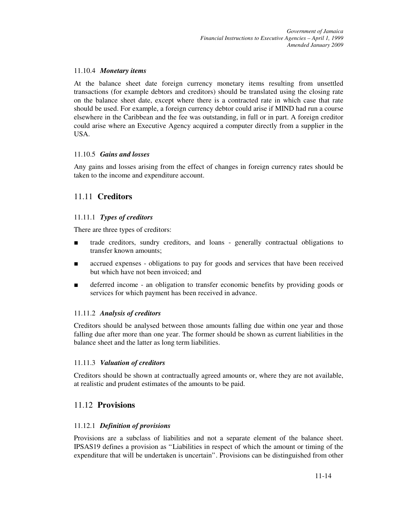# 11.10.4 *Monetary items*

At the balance sheet date foreign currency monetary items resulting from unsettled transactions (for example debtors and creditors) should be translated using the closing rate on the balance sheet date, except where there is a contracted rate in which case that rate should be used. For example, a foreign currency debtor could arise if MIND had run a course elsewhere in the Caribbean and the fee was outstanding, in full or in part. A foreign creditor could arise where an Executive Agency acquired a computer directly from a supplier in the USA.

# 11.10.5 *Gains and losses*

Any gains and losses arising from the effect of changes in foreign currency rates should be taken to the income and expenditure account.

# 11.11 **Creditors**

# 11.11.1 *Types of creditors*

There are three types of creditors:

- trade creditors, sundry creditors, and loans generally contractual obligations to transfer known amounts;
- accrued expenses obligations to pay for goods and services that have been received but which have not been invoiced; and
- deferred income an obligation to transfer economic benefits by providing goods or services for which payment has been received in advance.

# 11.11.2 *Analysis of creditors*

Creditors should be analysed between those amounts falling due within one year and those falling due after more than one year. The former should be shown as current liabilities in the balance sheet and the latter as long term liabilities.

# 11.11.3 *Valuation of creditors*

Creditors should be shown at contractually agreed amounts or, where they are not available, at realistic and prudent estimates of the amounts to be paid.

# 11.12 **Provisions**

# 11.12.1 *Definition of provisions*

Provisions are a subclass of liabilities and not a separate element of the balance sheet. IPSAS19 defines a provision as "Liabilities in respect of which the amount or timing of the expenditure that will be undertaken is uncertain". Provisions can be distinguished from other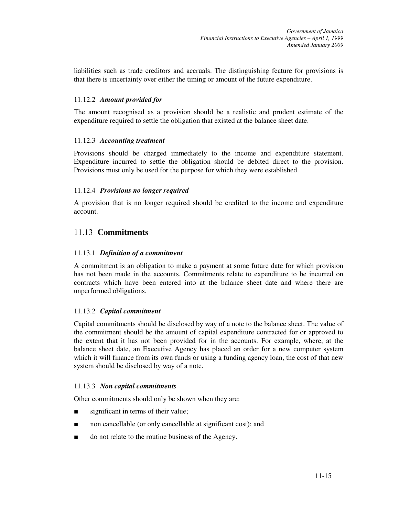liabilities such as trade creditors and accruals. The distinguishing feature for provisions is that there is uncertainty over either the timing or amount of the future expenditure.

# 11.12.2 *Amount provided for*

The amount recognised as a provision should be a realistic and prudent estimate of the expenditure required to settle the obligation that existed at the balance sheet date.

# 11.12.3 *Accounting treatment*

Provisions should be charged immediately to the income and expenditure statement. Expenditure incurred to settle the obligation should be debited direct to the provision. Provisions must only be used for the purpose for which they were established.

# 11.12.4 *Provisions no longer required*

A provision that is no longer required should be credited to the income and expenditure account.

# 11.13 **Commitments**

#### 11.13.1 *Definition of a commitment*

A commitment is an obligation to make a payment at some future date for which provision has not been made in the accounts. Commitments relate to expenditure to be incurred on contracts which have been entered into at the balance sheet date and where there are unperformed obligations.

# 11.13.2 *Capital commitment*

Capital commitments should be disclosed by way of a note to the balance sheet. The value of the commitment should be the amount of capital expenditure contracted for or approved to the extent that it has not been provided for in the accounts. For example, where, at the balance sheet date, an Executive Agency has placed an order for a new computer system which it will finance from its own funds or using a funding agency loan, the cost of that new system should be disclosed by way of a note.

#### 11.13.3 *Non capital commitments*

Other commitments should only be shown when they are:

- significant in terms of their value;
- non cancellable (or only cancellable at significant cost); and
- do not relate to the routine business of the Agency.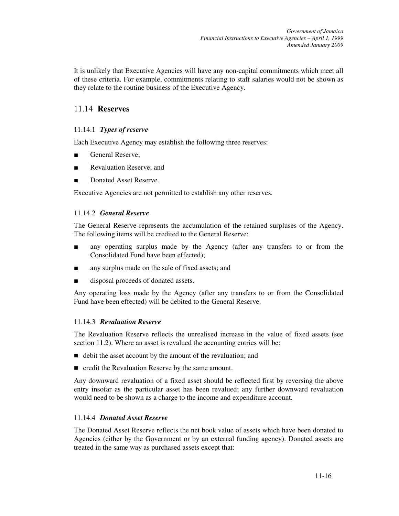It is unlikely that Executive Agencies will have any non-capital commitments which meet all of these criteria. For example, commitments relating to staff salaries would not be shown as they relate to the routine business of the Executive Agency.

# 11.14 **Reserves**

# 11.14.1 *Types of reserve*

Each Executive Agency may establish the following three reserves:

- General Reserve;
- Revaluation Reserve; and
- Donated Asset Reserve.

Executive Agencies are not permitted to establish any other reserves.

# 11.14.2 *General Reserve*

The General Reserve represents the accumulation of the retained surpluses of the Agency. The following items will be credited to the General Reserve:

- any operating surplus made by the Agency (after any transfers to or from the Consolidated Fund have been effected);
- any surplus made on the sale of fixed assets; and
- disposal proceeds of donated assets.

Any operating loss made by the Agency (after any transfers to or from the Consolidated Fund have been effected) will be debited to the General Reserve.

# 11.14.3 *Revaluation Reserve*

The Revaluation Reserve reflects the unrealised increase in the value of fixed assets (see section 11.2). Where an asset is revalued the accounting entries will be:

- debit the asset account by the amount of the revaluation; and
- $\blacksquare$  credit the Revaluation Reserve by the same amount.

Any downward revaluation of a fixed asset should be reflected first by reversing the above entry insofar as the particular asset has been revalued; any further downward revaluation would need to be shown as a charge to the income and expenditure account.

# 11.14.4 *Donated Asset Reserve*

The Donated Asset Reserve reflects the net book value of assets which have been donated to Agencies (either by the Government or by an external funding agency). Donated assets are treated in the same way as purchased assets except that: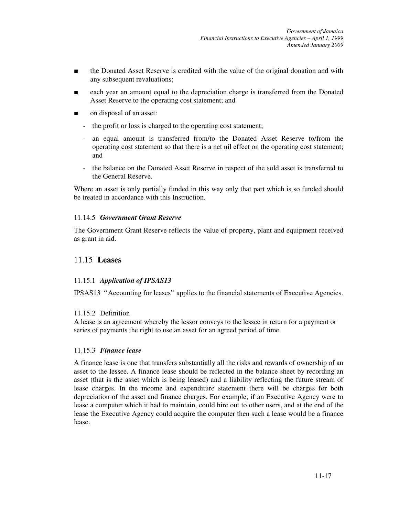- the Donated Asset Reserve is credited with the value of the original donation and with any subsequent revaluations;
- each year an amount equal to the depreciation charge is transferred from the Donated Asset Reserve to the operating cost statement; and
- on disposal of an asset:
	- the profit or loss is charged to the operating cost statement;
	- an equal amount is transferred from/to the Donated Asset Reserve to/from the operating cost statement so that there is a net nil effect on the operating cost statement; and
	- the balance on the Donated Asset Reserve in respect of the sold asset is transferred to the General Reserve.

Where an asset is only partially funded in this way only that part which is so funded should be treated in accordance with this Instruction.

#### 11.14.5 *Government Grant Reserve*

The Government Grant Reserve reflects the value of property, plant and equipment received as grant in aid.

# 11.15 **Leases**

#### 11.15.1 *Application of IPSAS13*

IPSAS13 "Accounting for leases" applies to the financial statements of Executive Agencies.

#### 11.15.2 Definition

A lease is an agreement whereby the lessor conveys to the lessee in return for a payment or series of payments the right to use an asset for an agreed period of time.

#### 11.15.3 *Finance lease*

A finance lease is one that transfers substantially all the risks and rewards of ownership of an asset to the lessee. A finance lease should be reflected in the balance sheet by recording an asset (that is the asset which is being leased) and a liability reflecting the future stream of lease charges. In the income and expenditure statement there will be charges for both depreciation of the asset and finance charges. For example, if an Executive Agency were to lease a computer which it had to maintain, could hire out to other users, and at the end of the lease the Executive Agency could acquire the computer then such a lease would be a finance lease.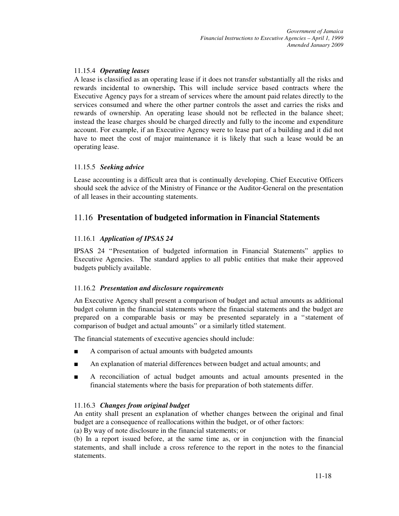# 11.15.4 *Operating leases*

A lease is classified as an operating lease if it does not transfer substantially all the risks and rewards incidental to ownership**.** This will include service based contracts where the Executive Agency pays for a stream of services where the amount paid relates directly to the services consumed and where the other partner controls the asset and carries the risks and rewards of ownership. An operating lease should not be reflected in the balance sheet; instead the lease charges should be charged directly and fully to the income and expenditure account. For example, if an Executive Agency were to lease part of a building and it did not have to meet the cost of major maintenance it is likely that such a lease would be an operating lease.

# 11.15.5 *Seeking advice*

Lease accounting is a difficult area that is continually developing. Chief Executive Officers should seek the advice of the Ministry of Finance or the Auditor-General on the presentation of all leases in their accounting statements.

# 11.16 **Presentation of budgeted information in Financial Statements**

# 11.16.1 *Application of IPSAS 24*

IPSAS 24 "Presentation of budgeted information in Financial Statements" applies to Executive Agencies. The standard applies to all public entities that make their approved budgets publicly available.

# 11.16.2 *Presentation and disclosure requirements*

An Executive Agency shall present a comparison of budget and actual amounts as additional budget column in the financial statements where the financial statements and the budget are prepared on a comparable basis or may be presented separately in a "statement of comparison of budget and actual amounts" or a similarly titled statement.

The financial statements of executive agencies should include:

- A comparison of actual amounts with budgeted amounts
- An explanation of material differences between budget and actual amounts; and
- A reconciliation of actual budget amounts and actual amounts presented in the financial statements where the basis for preparation of both statements differ.

# 11.16.3 *Changes from original budget*

An entity shall present an explanation of whether changes between the original and final budget are a consequence of reallocations within the budget, or of other factors:

(a) By way of note disclosure in the financial statements; or

(b) In a report issued before, at the same time as, or in conjunction with the financial statements, and shall include a cross reference to the report in the notes to the financial statements.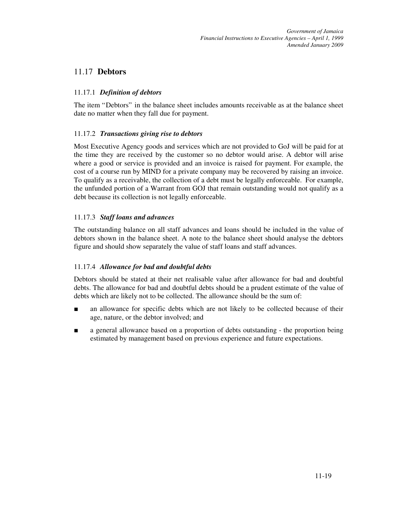# 11.17 **Debtors**

### 11.17.1 *Definition of debtors*

The item "Debtors" in the balance sheet includes amounts receivable as at the balance sheet date no matter when they fall due for payment.

#### 11.17.2 *Transactions giving rise to debtors*

Most Executive Agency goods and services which are not provided to GoJ will be paid for at the time they are received by the customer so no debtor would arise. A debtor will arise where a good or service is provided and an invoice is raised for payment. For example, the cost of a course run by MIND for a private company may be recovered by raising an invoice. To qualify as a receivable, the collection of a debt must be legally enforceable. For example, the unfunded portion of a Warrant from GOJ that remain outstanding would not qualify as a debt because its collection is not legally enforceable.

#### 11.17.3 *Staff loans and advances*

The outstanding balance on all staff advances and loans should be included in the value of debtors shown in the balance sheet. A note to the balance sheet should analyse the debtors figure and should show separately the value of staff loans and staff advances.

## 11.17.4 *Allowance for bad and doubtful debts*

Debtors should be stated at their net realisable value after allowance for bad and doubtful debts. The allowance for bad and doubtful debts should be a prudent estimate of the value of debts which are likely not to be collected. The allowance should be the sum of:

- an allowance for specific debts which are not likely to be collected because of their age, nature, or the debtor involved; and
- a general allowance based on a proportion of debts outstanding the proportion being estimated by management based on previous experience and future expectations.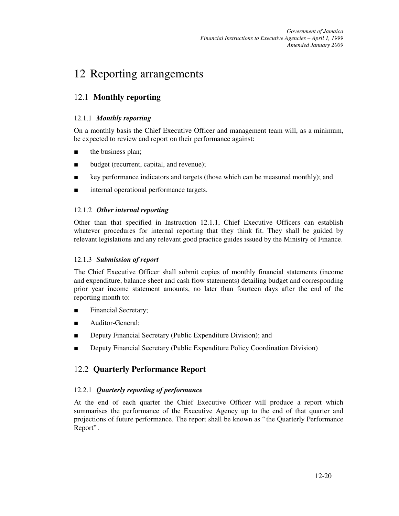# 12 Reporting arrangements

# 12.1 **Monthly reporting**

## 12.1.1 *Monthly reporting*

On a monthly basis the Chief Executive Officer and management team will, as a minimum, be expected to review and report on their performance against:

- the business plan;
- budget (recurrent, capital, and revenue);
- key performance indicators and targets (those which can be measured monthly); and
- internal operational performance targets.

## 12.1.2 *Other internal reporting*

Other than that specified in Instruction 12.1.1, Chief Executive Officers can establish whatever procedures for internal reporting that they think fit. They shall be guided by relevant legislations and any relevant good practice guides issued by the Ministry of Finance.

## 12.1.3 *Submission of report*

The Chief Executive Officer shall submit copies of monthly financial statements (income and expenditure, balance sheet and cash flow statements) detailing budget and corresponding prior year income statement amounts, no later than fourteen days after the end of the reporting month to:

- Financial Secretary;
- Auditor-General;
- Deputy Financial Secretary (Public Expenditure Division); and
- Deputy Financial Secretary (Public Expenditure Policy Coordination Division)

# 12.2 **Quarterly Performance Report**

## 12.2.1 *Quarterly reporting of performance*

At the end of each quarter the Chief Executive Officer will produce a report which summarises the performance of the Executive Agency up to the end of that quarter and projections of future performance. The report shall be known as "the Quarterly Performance Report".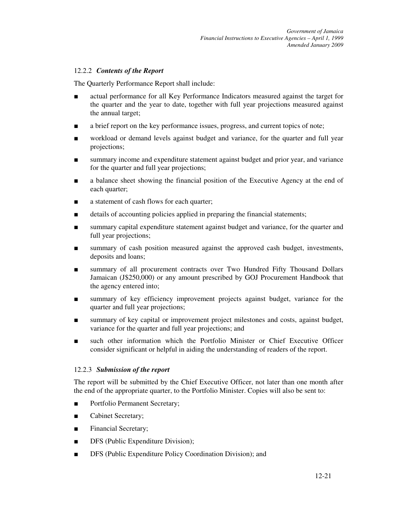#### 12.2.2 *Contents of the Report*

The Quarterly Performance Report shall include:

- actual performance for all Key Performance Indicators measured against the target for the quarter and the year to date, together with full year projections measured against the annual target;
- a brief report on the key performance issues, progress, and current topics of note;
- workload or demand levels against budget and variance, for the quarter and full year projections;
- summary income and expenditure statement against budget and prior year, and variance for the quarter and full year projections;
- a balance sheet showing the financial position of the Executive Agency at the end of each quarter;
- a statement of cash flows for each quarter;
- details of accounting policies applied in preparing the financial statements;
- summary capital expenditure statement against budget and variance, for the quarter and full year projections;
- summary of cash position measured against the approved cash budget, investments, deposits and loans;
- summary of all procurement contracts over Two Hundred Fifty Thousand Dollars Jamaican (J\$250,000) or any amount prescribed by GOJ Procurement Handbook that the agency entered into;
- summary of key efficiency improvement projects against budget, variance for the quarter and full year projections;
- summary of key capital or improvement project milestones and costs, against budget, variance for the quarter and full year projections; and
- such other information which the Portfolio Minister or Chief Executive Officer consider significant or helpful in aiding the understanding of readers of the report.

#### 12.2.3 *Submission of the report*

The report will be submitted by the Chief Executive Officer, not later than one month after the end of the appropriate quarter, to the Portfolio Minister. Copies will also be sent to:

- Portfolio Permanent Secretary;
- Cabinet Secretary;
- Financial Secretary;
- DFS (Public Expenditure Division);
- DFS (Public Expenditure Policy Coordination Division); and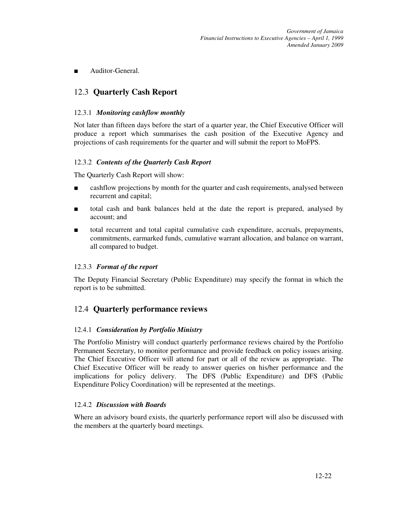■ Auditor-General.

# 12.3 **Quarterly Cash Report**

#### 12.3.1 *Monitoring cashflow monthly*

Not later than fifteen days before the start of a quarter year, the Chief Executive Officer will produce a report which summarises the cash position of the Executive Agency and projections of cash requirements for the quarter and will submit the report to MoFPS.

#### 12.3.2 *Contents of the Quarterly Cash Report*

The Quarterly Cash Report will show:

- cashflow projections by month for the quarter and cash requirements, analysed between recurrent and capital;
- total cash and bank balances held at the date the report is prepared, analysed by account; and
- total recurrent and total capital cumulative cash expenditure, accruals, prepayments, commitments, earmarked funds, cumulative warrant allocation, and balance on warrant, all compared to budget.

#### 12.3.3 *Format of the report*

The Deputy Financial Secretary (Public Expenditure) may specify the format in which the report is to be submitted.

# 12.4 **Quarterly performance reviews**

#### 12.4.1 *Consideration by Portfolio Ministry*

The Portfolio Ministry will conduct quarterly performance reviews chaired by the Portfolio Permanent Secretary, to monitor performance and provide feedback on policy issues arising. The Chief Executive Officer will attend for part or all of the review as appropriate. The Chief Executive Officer will be ready to answer queries on his/her performance and the implications for policy delivery. The DFS (Public Expenditure) and DFS (Public Expenditure Policy Coordination) will be represented at the meetings.

#### 12.4.2 *Discussion with Boards*

Where an advisory board exists, the quarterly performance report will also be discussed with the members at the quarterly board meetings.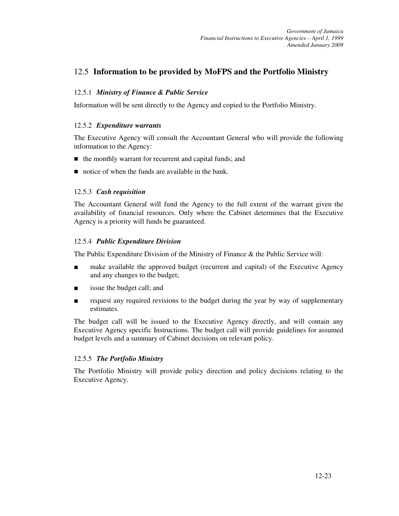# 12.5 **Information to be provided by MoFPS and the Portfolio Ministry**

#### 12.5.1 *Ministry of Finance & Public Service*

Information will be sent directly to the Agency and copied to the Portfolio Ministry.

#### 12.5.2 *Expenditure warrants*

The Executive Agency will consult the Accountant General who will provide the following information to the Agency:

- $\blacksquare$  the monthly warrant for recurrent and capital funds; and
- notice of when the funds are available in the bank.

#### 12.5.3 *Cash requisition*

The Accountant General will fund the Agency to the full extent of the warrant given the availability of financial resources. Only where the Cabinet determines that the Executive Agency is a priority will funds be guaranteed.

#### 12.5.4 *Public Expenditure Division*

The Public Expenditure Division of the Ministry of Finance & the Public Service will:

- make available the approved budget (recurrent and capital) of the Executive Agency and any changes to the budget;
- issue the budget call; and
- request any required revisions to the budget during the year by way of supplementary estimates.

The budget call will be issued to the Executive Agency directly, and will contain any Executive Agency specific Instructions. The budget call will provide guidelines for assumed budget levels and a summary of Cabinet decisions on relevant policy.

#### 12.5.5 *The Portfolio Ministry*

The Portfolio Ministry will provide policy direction and policy decisions relating to the Executive Agency.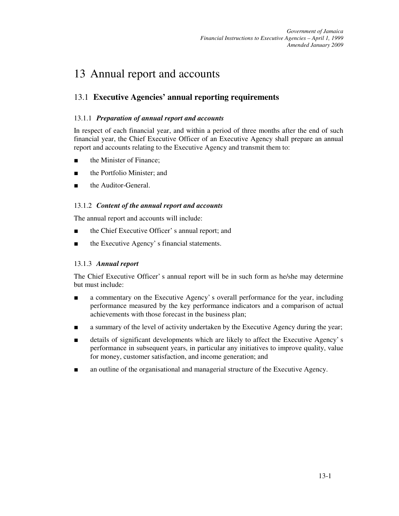# 13 Annual report and accounts

# 13.1 **Executive Agencies' annual reporting requirements**

## 13.1.1 *Preparation of annual report and accounts*

In respect of each financial year, and within a period of three months after the end of such financial year, the Chief Executive Officer of an Executive Agency shall prepare an annual report and accounts relating to the Executive Agency and transmit them to:

- the Minister of Finance:
- the Portfolio Minister: and
- the Auditor-General.

## 13.1.2 *Content of the annual report and accounts*

The annual report and accounts will include:

- the Chief Executive Officer' s annual report; and
- the Executive Agency' s financial statements.

## 13.1.3 *Annual report*

The Chief Executive Officer' s annual report will be in such form as he/she may determine but must include:

- a commentary on the Executive Agency' s overall performance for the year, including performance measured by the key performance indicators and a comparison of actual achievements with those forecast in the business plan;
- a summary of the level of activity undertaken by the Executive Agency during the year;
- details of significant developments which are likely to affect the Executive Agency's performance in subsequent years, in particular any initiatives to improve quality, value for money, customer satisfaction, and income generation; and
- an outline of the organisational and managerial structure of the Executive Agency.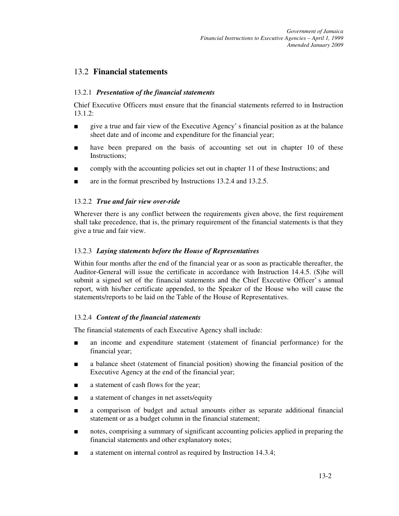# 13.2 **Financial statements**

#### 13.2.1 *Presentation of the financial statements*

Chief Executive Officers must ensure that the financial statements referred to in Instruction  $13.1.2:$ 

- give a true and fair view of the Executive Agency' s financial position as at the balance sheet date and of income and expenditure for the financial year;
- have been prepared on the basis of accounting set out in chapter 10 of these Instructions;
- comply with the accounting policies set out in chapter 11 of these Instructions; and
- are in the format prescribed by Instructions 13.2.4 and 13.2.5.

#### 13.2.2 *True and fair view over-ride*

Wherever there is any conflict between the requirements given above, the first requirement shall take precedence, that is, the primary requirement of the financial statements is that they give a true and fair view.

#### 13.2.3 *Laying statements before the House of Representatives*

Within four months after the end of the financial year or as soon as practicable thereafter, the Auditor-General will issue the certificate in accordance with Instruction 14.4.5. (S)he will submit a signed set of the financial statements and the Chief Executive Officer' s annual report, with his/her certificate appended, to the Speaker of the House who will cause the statements/reports to be laid on the Table of the House of Representatives.

#### 13.2.4 *Content of the financial statements*

The financial statements of each Executive Agency shall include:

- an income and expenditure statement (statement of financial performance) for the financial year;
- a balance sheet (statement of financial position) showing the financial position of the Executive Agency at the end of the financial year;
- a statement of cash flows for the year;
- a statement of changes in net assets/equity
- a comparison of budget and actual amounts either as separate additional financial statement or as a budget column in the financial statement;
- notes, comprising a summary of significant accounting policies applied in preparing the financial statements and other explanatory notes;
- a statement on internal control as required by Instruction 14.3.4;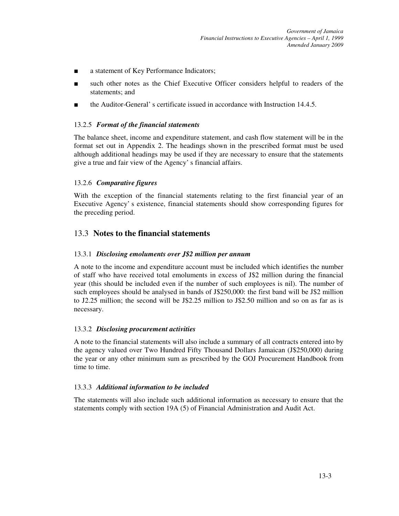- a statement of Key Performance Indicators;
- such other notes as the Chief Executive Officer considers helpful to readers of the statements; and
- the Auditor-General' s certificate issued in accordance with Instruction 14.4.5.

#### 13.2.5 *Format of the financial statements*

The balance sheet, income and expenditure statement, and cash flow statement will be in the format set out in Appendix 2. The headings shown in the prescribed format must be used although additional headings may be used if they are necessary to ensure that the statements give a true and fair view of the Agency' s financial affairs.

#### 13.2.6 *Comparative figures*

With the exception of the financial statements relating to the first financial year of an Executive Agency' s existence, financial statements should show corresponding figures for the preceding period.

# 13.3 **Notes to the financial statements**

### 13.3.1 *Disclosing emoluments over J\$2 million per annum*

A note to the income and expenditure account must be included which identifies the number of staff who have received total emoluments in excess of J\$2 million during the financial year (this should be included even if the number of such employees is nil). The number of such employees should be analysed in bands of J\$250,000: the first band will be J\$2 million to J2.25 million; the second will be J\$2.25 million to J\$2.50 million and so on as far as is necessary.

#### 13.3.2 *Disclosing procurement activities*

A note to the financial statements will also include a summary of all contracts entered into by the agency valued over Two Hundred Fifty Thousand Dollars Jamaican (J\$250,000) during the year or any other minimum sum as prescribed by the GOJ Procurement Handbook from time to time.

## 13.3.3 *Additional information to be included*

The statements will also include such additional information as necessary to ensure that the statements comply with section 19A (5) of Financial Administration and Audit Act.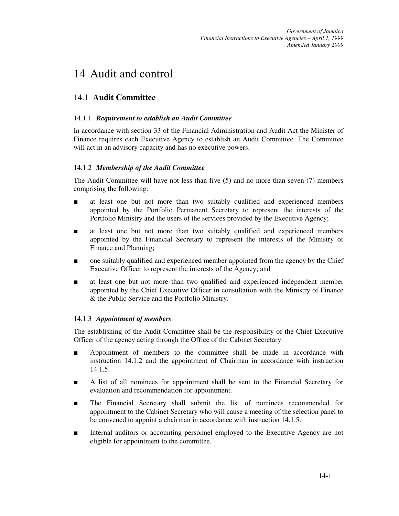# 14 Audit and control

# 14.1 **Audit Committee**

#### 14.1.1 *Requirement to establish an Audit Committee*

In accordance with section 33 of the Financial Administration and Audit Act the Minister of Finance requires each Executive Agency to establish an Audit Committee. The Committee will act in an advisory capacity and has no executive powers.

#### 14.1.2 *Membership of the Audit Committee*

The Audit Committee will have not less than five (5) and no more than seven (7) members comprising the following:

- at least one but not more than two suitably qualified and experienced members appointed by the Portfolio Permanent Secretary to represent the interests of the Portfolio Ministry and the users of the services provided by the Executive Agency;
- at least one but not more than two suitably qualified and experienced members appointed by the Financial Secretary to represent the interests of the Ministry of Finance and Planning;
- one suitably qualified and experienced member appointed from the agency by the Chief Executive Officer to represent the interests of the Agency; and
- at least one but not more than two qualified and experienced independent member appointed by the Chief Executive Officer in consultation with the Ministry of Finance & the Public Service and the Portfolio Ministry.

## 14.1.3 *Appointment of members*

The establishing of the Audit Committee shall be the responsibility of the Chief Executive Officer of the agency acting through the Office of the Cabinet Secretary.

- Appointment of members to the committee shall be made in accordance with instruction 14.1.2 and the appointment of Chairman in accordance with instruction 14.1.5.
- A list of all nominees for appointment shall be sent to the Financial Secretary for evaluation and recommendation for appointment.
- The Financial Secretary shall submit the list of nominees recommended for appointment to the Cabinet Secretary who will cause a meeting of the selection panel to be convened to appoint a chairman in accordance with instruction 14.1.5.
- Internal auditors or accounting personnel employed to the Executive Agency are not eligible for appointment to the committee.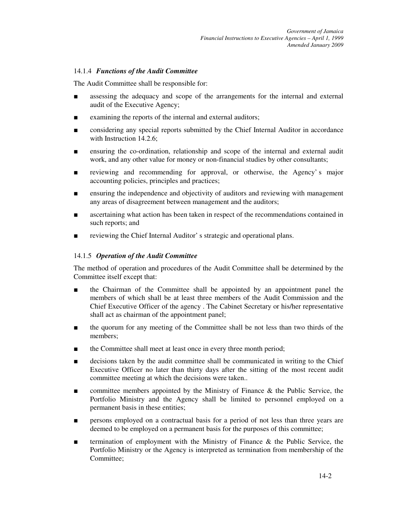#### 14.1.4 *Functions of the Audit Committee*

The Audit Committee shall be responsible for:

- assessing the adequacy and scope of the arrangements for the internal and external audit of the Executive Agency;
- examining the reports of the internal and external auditors;
- considering any special reports submitted by the Chief Internal Auditor in accordance with Instruction 14.2.6;
- ensuring the co-ordination, relationship and scope of the internal and external audit work, and any other value for money or non-financial studies by other consultants;
- reviewing and recommending for approval, or otherwise, the Agency's major accounting policies, principles and practices;
- ensuring the independence and objectivity of auditors and reviewing with management any areas of disagreement between management and the auditors;
- ascertaining what action has been taken in respect of the recommendations contained in such reports; and
- reviewing the Chief Internal Auditor's strategic and operational plans.

#### 14.1.5 *Operation of the Audit Committee*

The method of operation and procedures of the Audit Committee shall be determined by the Committee itself except that:

- the Chairman of the Committee shall be appointed by an appointment panel the members of which shall be at least three members of the Audit Commission and the Chief Executive Officer of the agency . The Cabinet Secretary or his/her representative shall act as chairman of the appointment panel;
- the quorum for any meeting of the Committee shall be not less than two thirds of the members;
- the Committee shall meet at least once in every three month period;
- decisions taken by the audit committee shall be communicated in writing to the Chief Executive Officer no later than thirty days after the sitting of the most recent audit committee meeting at which the decisions were taken..
- committee members appointed by the Ministry of Finance & the Public Service, the Portfolio Ministry and the Agency shall be limited to personnel employed on a permanent basis in these entities;
- persons employed on a contractual basis for a period of not less than three years are deemed to be employed on a permanent basis for the purposes of this committee;
- termination of employment with the Ministry of Finance & the Public Service, the Portfolio Ministry or the Agency is interpreted as termination from membership of the Committee;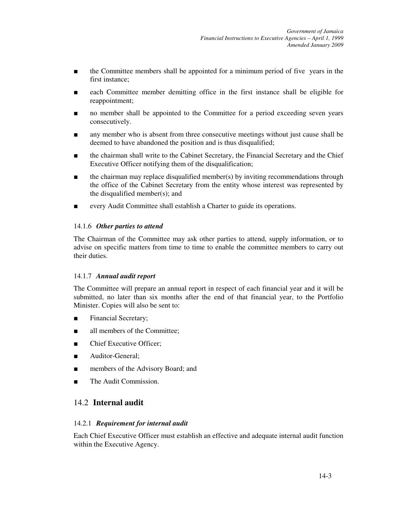- the Committee members shall be appointed for a minimum period of five years in the first instance;
- each Committee member demitting office in the first instance shall be eligible for reappointment;
- no member shall be appointed to the Committee for a period exceeding seven years consecutively.
- any member who is absent from three consecutive meetings without just cause shall be deemed to have abandoned the position and is thus disqualified;
- the chairman shall write to the Cabinet Secretary, the Financial Secretary and the Chief Executive Officer notifying them of the disqualification;
- the chairman may replace disqualified member(s) by inviting recommendations through the office of the Cabinet Secretary from the entity whose interest was represented by the disqualified member(s); and
- every Audit Committee shall establish a Charter to guide its operations.

#### 14.1.6 *Other parties to attend*

The Chairman of the Committee may ask other parties to attend, supply information, or to advise on specific matters from time to time to enable the committee members to carry out their duties.

#### 14.1.7 *Annual audit report*

The Committee will prepare an annual report in respect of each financial year and it will be submitted, no later than six months after the end of that financial year, to the Portfolio Minister. Copies will also be sent to:

- Financial Secretary;
- all members of the Committee;
- Chief Executive Officer;
- Auditor-General:
- members of the Advisory Board; and
- The Audit Commission.

## 14.2 **Internal audit**

#### 14.2.1 *Requirement for internal audit*

Each Chief Executive Officer must establish an effective and adequate internal audit function within the Executive Agency.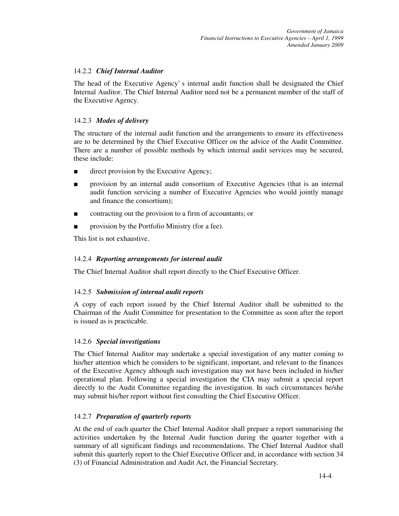#### 14.2.2 *Chief Internal Auditor*

The head of the Executive Agency' s internal audit function shall be designated the Chief Internal Auditor. The Chief Internal Auditor need not be a permanent member of the staff of the Executive Agency.

#### 14.2.3 *Modes of delivery*

The structure of the internal audit function and the arrangements to ensure its effectiveness are to be determined by the Chief Executive Officer on the advice of the Audit Committee. There are a number of possible methods by which internal audit services may be secured, these include:

- direct provision by the Executive Agency;
- provision by an internal audit consortium of Executive Agencies (that is an internal audit function servicing a number of Executive Agencies who would jointly manage and finance the consortium);
- contracting out the provision to a firm of accountants; or
- provision by the Portfolio Ministry (for a fee).

This list is not exhaustive.

#### 14.2.4 *Reporting arrangements for internal audit*

The Chief Internal Auditor shall report directly to the Chief Executive Officer.

#### 14.2.5 *Submission of internal audit reports*

A copy of each report issued by the Chief Internal Auditor shall be submitted to the Chairman of the Audit Committee for presentation to the Committee as soon after the report is issued as is practicable.

#### 14.2.6 *Special investigations*

The Chief Internal Auditor may undertake a special investigation of any matter coming to his/her attention which he considers to be significant, important, and relevant to the finances of the Executive Agency although such investigation may not have been included in his/her operational plan. Following a special investigation the CIA may submit a special report directly to the Audit Committee regarding the investigation. In such circumstances he/she may submit his/her report without first consulting the Chief Executive Officer.

#### 14.2.7 *Preparation of quarterly reports*

At the end of each quarter the Chief Internal Auditor shall prepare a report summarising the activities undertaken by the Internal Audit function during the quarter together with a summary of all significant findings and recommendations. The Chief Internal Auditor shall submit this quarterly report to the Chief Executive Officer and, in accordance with section 34 (3) of Financial Administration and Audit Act, the Financial Secretary.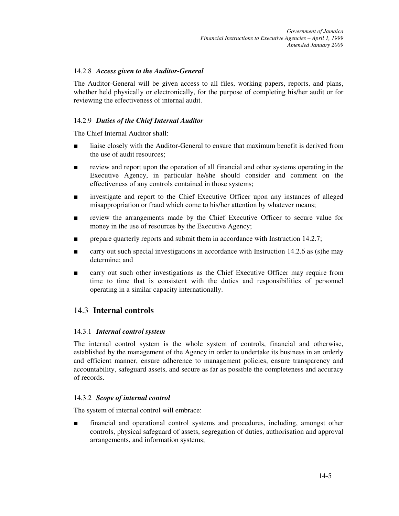#### 14.2.8 *Access given to the Auditor-General*

The Auditor-General will be given access to all files, working papers, reports, and plans, whether held physically or electronically, for the purpose of completing his/her audit or for reviewing the effectiveness of internal audit.

## 14.2.9 *Duties of the Chief Internal Auditor*

The Chief Internal Auditor shall:

- liaise closely with the Auditor-General to ensure that maximum benefit is derived from the use of audit resources;
- review and report upon the operation of all financial and other systems operating in the Executive Agency, in particular he/she should consider and comment on the effectiveness of any controls contained in those systems;
- investigate and report to the Chief Executive Officer upon any instances of alleged misappropriation or fraud which come to his/her attention by whatever means;
- review the arrangements made by the Chief Executive Officer to secure value for money in the use of resources by the Executive Agency;
- prepare quarterly reports and submit them in accordance with Instruction 14.2.7;
- carry out such special investigations in accordance with Instruction 14.2.6 as (s) he may determine; and
- carry out such other investigations as the Chief Executive Officer may require from time to time that is consistent with the duties and responsibilities of personnel operating in a similar capacity internationally.

# 14.3 **Internal controls**

#### 14.3.1 *Internal control system*

The internal control system is the whole system of controls, financial and otherwise, established by the management of the Agency in order to undertake its business in an orderly and efficient manner, ensure adherence to management policies, ensure transparency and accountability, safeguard assets, and secure as far as possible the completeness and accuracy of records.

## 14.3.2 *Scope of internal control*

The system of internal control will embrace:

financial and operational control systems and procedures, including, amongst other controls, physical safeguard of assets, segregation of duties, authorisation and approval arrangements, and information systems;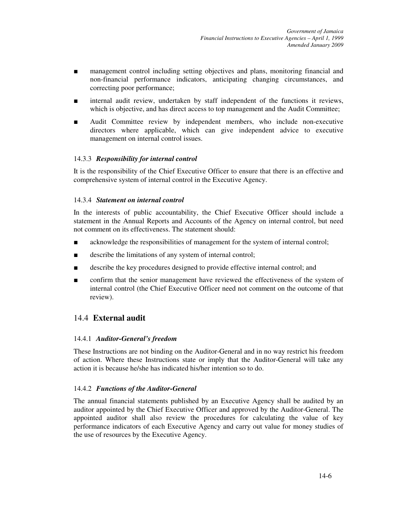- management control including setting objectives and plans, monitoring financial and non-financial performance indicators, anticipating changing circumstances, and correcting poor performance;
- internal audit review, undertaken by staff independent of the functions it reviews, which is objective, and has direct access to top management and the Audit Committee;
- Audit Committee review by independent members, who include non-executive directors where applicable, which can give independent advice to executive management on internal control issues.

#### 14.3.3 *Responsibility for internal control*

It is the responsibility of the Chief Executive Officer to ensure that there is an effective and comprehensive system of internal control in the Executive Agency.

#### 14.3.4 *Statement on internal control*

In the interests of public accountability, the Chief Executive Officer should include a statement in the Annual Reports and Accounts of the Agency on internal control, but need not comment on its effectiveness. The statement should:

- acknowledge the responsibilities of management for the system of internal control;
- describe the limitations of any system of internal control;
- describe the key procedures designed to provide effective internal control; and
- confirm that the senior management have reviewed the effectiveness of the system of internal control (the Chief Executive Officer need not comment on the outcome of that review).

# 14.4 **External audit**

#### 14.4.1 *Auditor-General's freedom*

These Instructions are not binding on the Auditor-General and in no way restrict his freedom of action. Where these Instructions state or imply that the Auditor-General will take any action it is because he/she has indicated his/her intention so to do.

#### 14.4.2 *Functions of the Auditor-General*

The annual financial statements published by an Executive Agency shall be audited by an auditor appointed by the Chief Executive Officer and approved by the Auditor-General. The appointed auditor shall also review the procedures for calculating the value of key performance indicators of each Executive Agency and carry out value for money studies of the use of resources by the Executive Agency.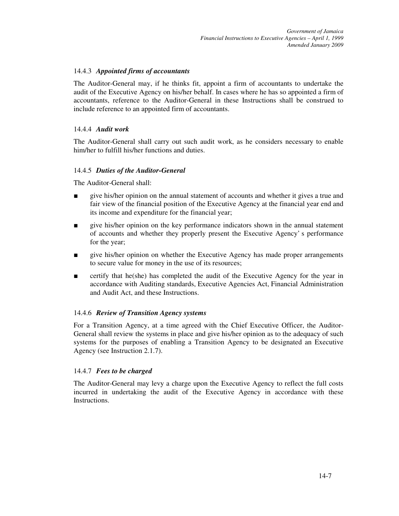#### 14.4.3 *Appointed firms of accountants*

The Auditor-General may, if he thinks fit, appoint a firm of accountants to undertake the audit of the Executive Agency on his/her behalf. In cases where he has so appointed a firm of accountants, reference to the Auditor-General in these Instructions shall be construed to include reference to an appointed firm of accountants.

#### 14.4.4 *Audit work*

The Auditor-General shall carry out such audit work, as he considers necessary to enable him/her to fulfill his/her functions and duties.

#### 14.4.5 *Duties of the Auditor-General*

The Auditor-General shall:

- give his/her opinion on the annual statement of accounts and whether it gives a true and fair view of the financial position of the Executive Agency at the financial year end and its income and expenditure for the financial year;
- give his/her opinion on the key performance indicators shown in the annual statement of accounts and whether they properly present the Executive Agency' s performance for the year;
- give his/her opinion on whether the Executive Agency has made proper arrangements to secure value for money in the use of its resources;
- certify that he(she) has completed the audit of the Executive Agency for the year in accordance with Auditing standards, Executive Agencies Act, Financial Administration and Audit Act, and these Instructions.

#### 14.4.6 *Review of Transition Agency systems*

For a Transition Agency, at a time agreed with the Chief Executive Officer, the Auditor-General shall review the systems in place and give his/her opinion as to the adequacy of such systems for the purposes of enabling a Transition Agency to be designated an Executive Agency (see Instruction 2.1.7).

#### 14.4.7 *Fees to be charged*

The Auditor-General may levy a charge upon the Executive Agency to reflect the full costs incurred in undertaking the audit of the Executive Agency in accordance with these Instructions.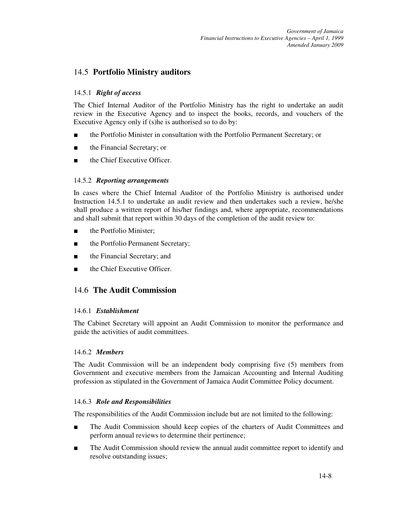# 14.5 **Portfolio Ministry auditors**

#### 14.5.1 *Right of access*

The Chief Internal Auditor of the Portfolio Ministry has the right to undertake an audit review in the Executive Agency and to inspect the books, records, and vouchers of the Executive Agency only if (s)he is authorised so to do by:

- the Portfolio Minister in consultation with the Portfolio Permanent Secretary; or
- the Financial Secretary; or
- the Chief Executive Officer.

#### 14.5.2 *Reporting arrangements*

In cases where the Chief Internal Auditor of the Portfolio Ministry is authorised under Instruction 14.5.1 to undertake an audit review and then undertakes such a review, he/she shall produce a written report of his/her findings and, where appropriate, recommendations and shall submit that report within 30 days of the completion of the audit review to:

- the Portfolio Minister:
- the Portfolio Permanent Secretary;
- the Financial Secretary; and
- the Chief Executive Officer.

# 14.6 **The Audit Commission**

#### 14.6.1 *Establishment*

The Cabinet Secretary will appoint an Audit Commission to monitor the performance and guide the activities of audit committees.

#### 14.6.2 *Members*

The Audit Commission will be an independent body comprising five (5) members from Government and executive members from the Jamaican Accounting and Internal Auditing profession as stipulated in the Government of Jamaica Audit Committee Policy document.

#### 14.6.3 *Role and Responsibilities*

The responsibilities of the Audit Commission include but are not limited to the following:

- The Audit Commission should keep copies of the charters of Audit Committees and perform annual reviews to determine their pertinence;
- The Audit Commission should review the annual audit committee report to identify and resolve outstanding issues;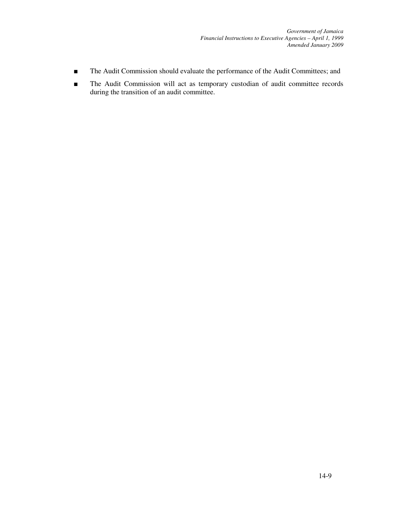*Government of Jamaica Financial Instructions to Executive Agencies – April 1, 1999 Amended January 2009*

- The Audit Commission should evaluate the performance of the Audit Committees; and
- The Audit Commission will act as temporary custodian of audit committee records during the transition of an audit committee.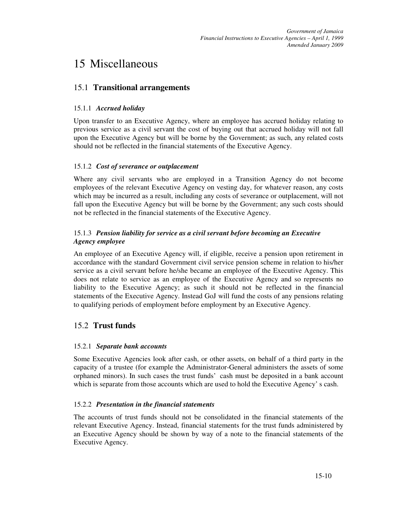# 15 Miscellaneous

# 15.1 **Transitional arrangements**

### 15.1.1 *Accrued holiday*

Upon transfer to an Executive Agency, where an employee has accrued holiday relating to previous service as a civil servant the cost of buying out that accrued holiday will not fall upon the Executive Agency but will be borne by the Government; as such, any related costs should not be reflected in the financial statements of the Executive Agency.

#### 15.1.2 *Cost of severance or outplacement*

Where any civil servants who are employed in a Transition Agency do not become employees of the relevant Executive Agency on vesting day, for whatever reason, any costs which may be incurred as a result, including any costs of severance or outplacement, will not fall upon the Executive Agency but will be borne by the Government; any such costs should not be reflected in the financial statements of the Executive Agency.

## 15.1.3 *Pension liability for service as a civil servant before becoming an Executive Agency employee*

An employee of an Executive Agency will, if eligible, receive a pension upon retirement in accordance with the standard Government civil service pension scheme in relation to his/her service as a civil servant before he/she became an employee of the Executive Agency. This does not relate to service as an employee of the Executive Agency and so represents no liability to the Executive Agency; as such it should not be reflected in the financial statements of the Executive Agency. Instead GoJ will fund the costs of any pensions relating to qualifying periods of employment before employment by an Executive Agency.

# 15.2 **Trust funds**

## 15.2.1 *Separate bank accounts*

Some Executive Agencies look after cash, or other assets, on behalf of a third party in the capacity of a trustee (for example the Administrator-General administers the assets of some orphaned minors). In such cases the trust funds' cash must be deposited in a bank account which is separate from those accounts which are used to hold the Executive Agency' s cash.

#### 15.2.2 *Presentation in the financial statements*

The accounts of trust funds should not be consolidated in the financial statements of the relevant Executive Agency. Instead, financial statements for the trust funds administered by an Executive Agency should be shown by way of a note to the financial statements of the Executive Agency.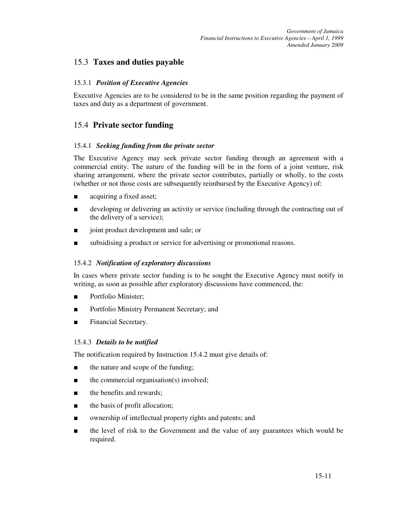# 15.3 **Taxes and duties payable**

## 15.3.1 *Position of Executive Agencies*

Executive Agencies are to be considered to be in the same position regarding the payment of taxes and duty as a department of government.

# 15.4 **Private sector funding**

#### 15.4.1 *Seeking funding from the private sector*

The Executive Agency may seek private sector funding through an agreement with a commercial entity. The nature of the funding will be in the form of a joint venture, risk sharing arrangement, where the private sector contributes, partially or wholly, to the costs (whether or not those costs are subsequently reimbursed by the Executive Agency) of:

- acquiring a fixed asset;
- developing or delivering an activity or service (including through the contracting out of the delivery of a service);
- joint product development and sale; or
- subsidising a product or service for advertising or promotional reasons.

#### 15.4.2 *Notification of exploratory discussions*

In cases where private sector funding is to be sought the Executive Agency must notify in writing, as soon as possible after exploratory discussions have commenced, the:

- Portfolio Minister;
- Portfolio Ministry Permanent Secretary; and
- Financial Secretary.

#### 15.4.3 *Details to be notified*

The notification required by Instruction 15.4.2 must give details of:

- the nature and scope of the funding;
- the commercial organisation(s) involved;
- the benefits and rewards;
- the basis of profit allocation;
- ownership of intellectual property rights and patents; and
- the level of risk to the Government and the value of any guarantees which would be required.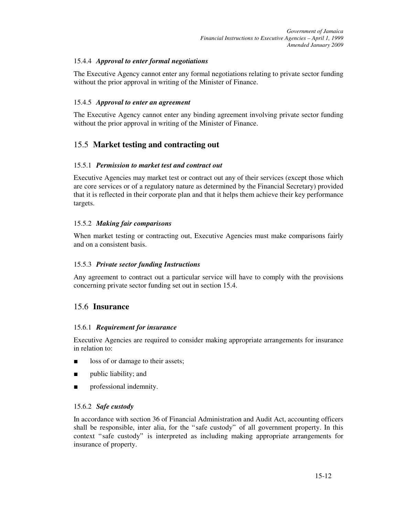## 15.4.4 *Approval to enter formal negotiations*

The Executive Agency cannot enter any formal negotiations relating to private sector funding without the prior approval in writing of the Minister of Finance.

### 15.4.5 *Approval to enter an agreement*

The Executive Agency cannot enter any binding agreement involving private sector funding without the prior approval in writing of the Minister of Finance.

# 15.5 **Market testing and contracting out**

#### 15.5.1 *Permission to market test and contract out*

Executive Agencies may market test or contract out any of their services (except those which are core services or of a regulatory nature as determined by the Financial Secretary) provided that it is reflected in their corporate plan and that it helps them achieve their key performance targets.

#### 15.5.2 *Making fair comparisons*

When market testing or contracting out, Executive Agencies must make comparisons fairly and on a consistent basis.

#### 15.5.3 *Private sector funding Instructions*

Any agreement to contract out a particular service will have to comply with the provisions concerning private sector funding set out in section 15.4.

# 15.6 **Insurance**

#### 15.6.1 *Requirement for insurance*

Executive Agencies are required to consider making appropriate arrangements for insurance in relation to:

- loss of or damage to their assets;
- public liability; and
- professional indemnity.

#### 15.6.2 *Safe custody*

In accordance with section 36 of Financial Administration and Audit Act, accounting officers shall be responsible, inter alia, for the "safe custody" of all government property. In this context "safe custody" is interpreted as including making appropriate arrangements for insurance of property.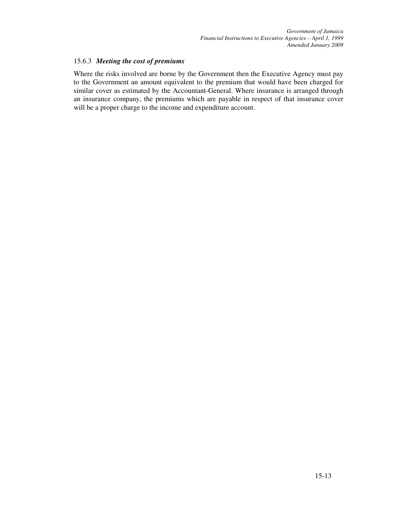#### 15.6.3 *Meeting the cost of premiums*

Where the risks involved are borne by the Government then the Executive Agency must pay to the Government an amount equivalent to the premium that would have been charged for similar cover as estimated by the Accountant-General. Where insurance is arranged through an insurance company, the premiums which are payable in respect of that insurance cover will be a proper charge to the income and expenditure account.